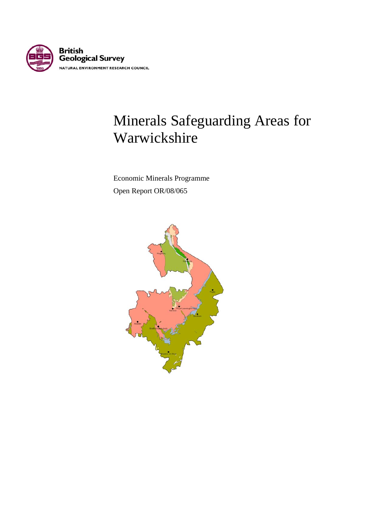

# Minerals Safeguarding Areas for Warwickshire

 Economic Minerals Programme Open Report OR/08/065

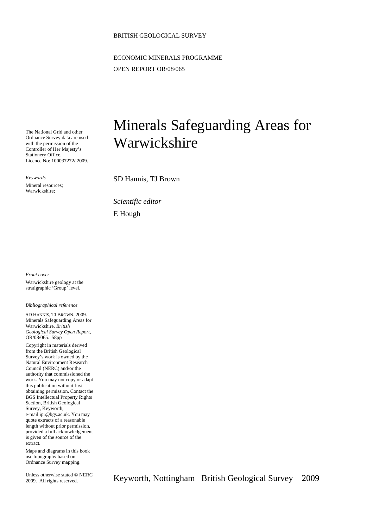#### BRITISH GEOLOGICAL SURVEY

ECONOMIC MINERALS PROGRAMME OPEN REPORT OR/08/065

The National Grid and other Ordnance Survey data are used with the permission of the Controller of Her Majesty's Stationery Office. Licence No: 100037272/ 2009.

*Keywords* 

Mineral resources; Warwickshire;

## Minerals Safeguarding Areas for Warwickshire

SD Hannis, TJ Brown

*Scientific editor*  E Hough

*Front cover*  Warwickshire geology at the stratigraphic 'Group' level.

*Bibliographical reference* 

SD HANNIS, TJ BROWN. 2009. Minerals Safeguarding Areas for Warwickshire. *British Geological Survey Open Report*, OR/08/065. 58pp

Copyright in materials derived from the British Geological Survey's work is owned by the Natural Environment Research Council (NERC) and/or the authority that commissioned the work. You may not copy or adapt this publication without first obtaining permission. Contact the BGS Intellectual Property Rights Section, British Geological Survey, Keyworth, e-mail ipr@bgs.ac.uk. You may quote extracts of a reasonable length without prior permission, provided a full acknowledgement is given of the source of the extract.

Maps and diagrams in this book use topography based on Ordnance Survey mapping.

Unless otherwise stated © NERC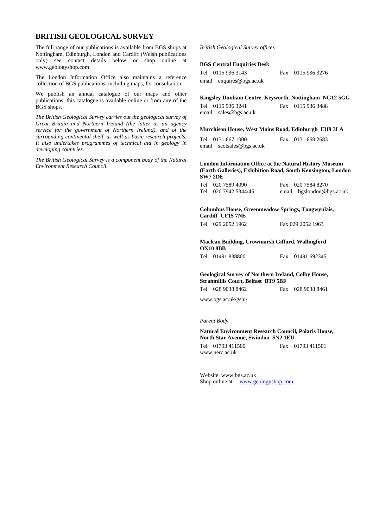#### **BRITISH GEOLOGICAL SURVEY**

The full range of our publications is available from BGS shops at Nottingham, Edinburgh, London and Cardiff (Welsh publications only) see contact details below or shop online at www.geologyshop.com

The London Information Office also maintains a reference collection of BGS publications, including maps, for consultation.

We publish an annual catalogue of our maps and other publications; this catalogue is available online or from any of the BGS shops.

*The British Geological Survey carries out the geological survey of Great Britain and Northern Ireland (the latter as an agency service for the government of Northern Ireland), and of the surrounding continental shelf, as well as basic research projects. It also undertakes programmes of technical aid in geology in developing countries.* 

*The British Geological Survey is a component body of the Natural Environment Research Council.* 

#### *British Geological Survey offices*

#### **BGS Central Enquiries Desk**

| Tel 0115 936 3143        |
|--------------------------|
| email enquires@bgs.ac.uk |

#### **Kingsley Dunham Centre, Keyworth, Nottingham NG12 5GG**

Fax 0115 936 3276

Tel 0115 936 3241 Fax 0115 936 3488 email sales@bgs.ac.uk

#### **Murchison House, West Mains Road, Edinburgh EH9 3LA**

Tel 0131 667 1000 Fax 0131 668 2683 email scotsales@bgs.ac.uk

#### **London Information Office at the Natural History Museum (Earth Galleries), Exhibition Road, South Kensington, London SW7 2DE**

| Tel 020 7589 4090    | Fax 020 7584 8270         |
|----------------------|---------------------------|
| Tel 020 7942 5344/45 | email bgslondon@bgs.ac.uk |

#### **Columbus House, Greenmeadow Springs, Tongwynlais, Cardiff CF15 7NE**

| Tel 029 2052 1962 | Fax 029 2052 1963 |
|-------------------|-------------------|
|                   |                   |

#### **Maclean Building, Crowmarsh Gifford, Wallingford OX10 8BB**

Tel 01491 838800 Fax 01491 692345

#### **Geological Survey of Northern Ireland, Colby House, Stranmillis Court, Belfast BT9 5BF**

Tel 028 9038 8462 Fax 028 9038 8461

www.bgs.ac.uk/gsni/

#### *Parent Body*

#### **Natural Environment Research Council, Polaris House, North Star Avenue, Swindon SN2 1EU**  Tel 01793 411500 Fax 01793 411501

www.nerc.ac.uk

Website www.bgs.ac.uk Shop online at www.geologyshop.com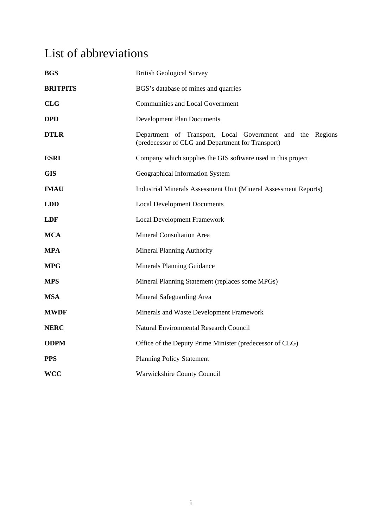## List of abbreviations

| <b>BGS</b>      | <b>British Geological Survey</b>                                                                               |  |  |  |  |  |  |  |
|-----------------|----------------------------------------------------------------------------------------------------------------|--|--|--|--|--|--|--|
| <b>BRITPITS</b> | BGS's database of mines and quarries                                                                           |  |  |  |  |  |  |  |
| <b>CLG</b>      | <b>Communities and Local Government</b>                                                                        |  |  |  |  |  |  |  |
| <b>DPD</b>      | <b>Development Plan Documents</b>                                                                              |  |  |  |  |  |  |  |
| <b>DTLR</b>     | Department of Transport, Local Government and the Regions<br>(predecessor of CLG and Department for Transport) |  |  |  |  |  |  |  |
| <b>ESRI</b>     | Company which supplies the GIS software used in this project                                                   |  |  |  |  |  |  |  |
| <b>GIS</b>      | Geographical Information System                                                                                |  |  |  |  |  |  |  |
| <b>IMAU</b>     | <b>Industrial Minerals Assessment Unit (Mineral Assessment Reports)</b>                                        |  |  |  |  |  |  |  |
| <b>LDD</b>      | <b>Local Development Documents</b>                                                                             |  |  |  |  |  |  |  |
| <b>LDF</b>      | <b>Local Development Framework</b>                                                                             |  |  |  |  |  |  |  |
| <b>MCA</b>      | <b>Mineral Consultation Area</b>                                                                               |  |  |  |  |  |  |  |
| <b>MPA</b>      | <b>Mineral Planning Authority</b>                                                                              |  |  |  |  |  |  |  |
| <b>MPG</b>      | <b>Minerals Planning Guidance</b>                                                                              |  |  |  |  |  |  |  |
| <b>MPS</b>      | Mineral Planning Statement (replaces some MPGs)                                                                |  |  |  |  |  |  |  |
| <b>MSA</b>      | Mineral Safeguarding Area                                                                                      |  |  |  |  |  |  |  |
| <b>MWDF</b>     | Minerals and Waste Development Framework                                                                       |  |  |  |  |  |  |  |
| <b>NERC</b>     | <b>Natural Environmental Research Council</b>                                                                  |  |  |  |  |  |  |  |
| <b>ODPM</b>     | Office of the Deputy Prime Minister (predecessor of CLG)                                                       |  |  |  |  |  |  |  |
| <b>PPS</b>      | <b>Planning Policy Statement</b>                                                                               |  |  |  |  |  |  |  |
| <b>WCC</b>      | Warwickshire County Council                                                                                    |  |  |  |  |  |  |  |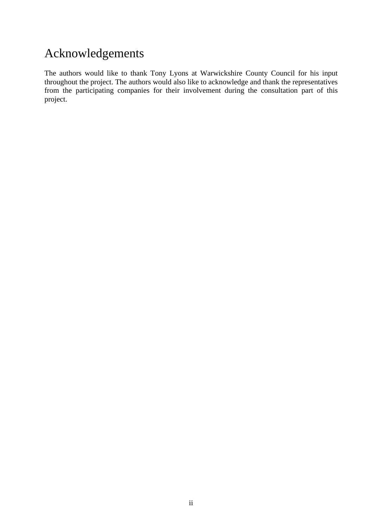## Acknowledgements

The authors would like to thank Tony Lyons at Warwickshire County Council for his input throughout the project. The authors would also like to acknowledge and thank the representatives from the participating companies for their involvement during the consultation part of this project.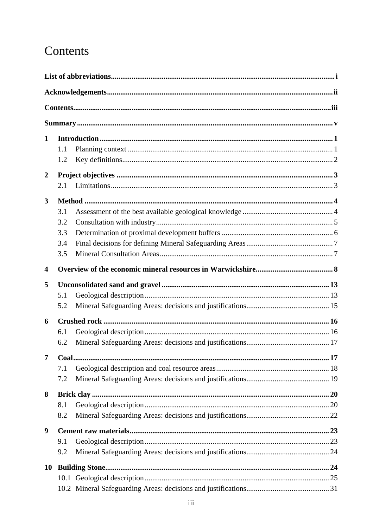## Contents

| 1              |     |  |
|----------------|-----|--|
|                | 1.1 |  |
|                | 1.2 |  |
| $\overline{2}$ |     |  |
|                | 2.1 |  |
| 3              |     |  |
|                | 3.1 |  |
|                | 3.2 |  |
|                | 3.3 |  |
|                | 3.4 |  |
|                | 3.5 |  |
| 4              |     |  |
| 5              |     |  |
|                | 5.1 |  |
|                | 5.2 |  |
| 6              |     |  |
|                | 6.1 |  |
|                | 6.2 |  |
| $\overline{7}$ |     |  |
|                | 7.1 |  |
|                | 7.2 |  |
| 8              |     |  |
|                | 8.1 |  |
|                | 8.2 |  |
| 9              |     |  |
|                | 9.1 |  |
|                | 9.2 |  |
| 10             |     |  |
|                |     |  |
|                |     |  |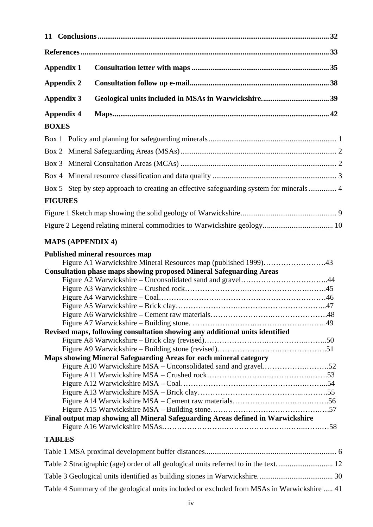| <b>Appendix 1</b>        |                                                                                                                                                                                         |  |
|--------------------------|-----------------------------------------------------------------------------------------------------------------------------------------------------------------------------------------|--|
| <b>Appendix 2</b>        |                                                                                                                                                                                         |  |
| <b>Appendix 3</b>        |                                                                                                                                                                                         |  |
| <b>Appendix 4</b>        |                                                                                                                                                                                         |  |
| <b>BOXES</b>             |                                                                                                                                                                                         |  |
|                          |                                                                                                                                                                                         |  |
|                          |                                                                                                                                                                                         |  |
|                          |                                                                                                                                                                                         |  |
|                          |                                                                                                                                                                                         |  |
|                          | Box 5 Step by step approach to creating an effective safeguarding system for minerals 4                                                                                                 |  |
| <b>FIGURES</b>           |                                                                                                                                                                                         |  |
|                          |                                                                                                                                                                                         |  |
|                          |                                                                                                                                                                                         |  |
| <b>MAPS (APPENDIX 4)</b> |                                                                                                                                                                                         |  |
|                          | <b>Published mineral resources map</b><br>Figure A1 Warwickshire Mineral Resources map (published 1999)43<br><b>Consultation phase maps showing proposed Mineral Safeguarding Areas</b> |  |

| Revised maps, following consultation showing any additional units identified    |  |
|---------------------------------------------------------------------------------|--|
|                                                                                 |  |
|                                                                                 |  |
| <b>Maps showing Mineral Safeguarding Areas for each mineral category</b>        |  |
|                                                                                 |  |
|                                                                                 |  |
|                                                                                 |  |
|                                                                                 |  |
|                                                                                 |  |
|                                                                                 |  |
| Final output map showing all Mineral Safeguarding Areas defined in Warwickshire |  |
|                                                                                 |  |

### **TABLES**

| Table 4 Summary of the geological units included or excluded from MSAs in Warwickshire  41 |  |
|--------------------------------------------------------------------------------------------|--|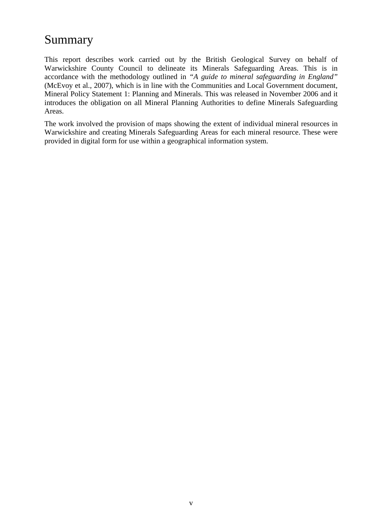## Summary

This report describes work carried out by the British Geological Survey on behalf of Warwickshire County Council to delineate its Minerals Safeguarding Areas. This is in accordance with the methodology outlined in *"A guide to mineral safeguarding in England"* (McEvoy et al., 2007), which is in line with the Communities and Local Government document, Mineral Policy Statement 1: Planning and Minerals. This was released in November 2006 and it introduces the obligation on all Mineral Planning Authorities to define Minerals Safeguarding Areas.

The work involved the provision of maps showing the extent of individual mineral resources in Warwickshire and creating Minerals Safeguarding Areas for each mineral resource. These were provided in digital form for use within a geographical information system.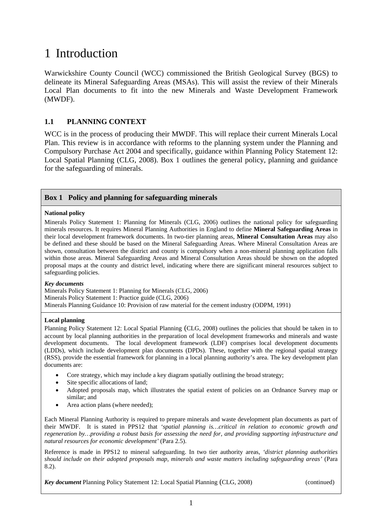## 1 Introduction

Warwickshire County Council (WCC) commissioned the British Geological Survey (BGS) to delineate its Mineral Safeguarding Areas (MSAs). This will assist the review of their Minerals Local Plan documents to fit into the new Minerals and Waste Development Framework (MWDF).

### **1.1 PLANNING CONTEXT**

WCC is in the process of producing their MWDF. This will replace their current Minerals Local Plan. This review is in accordance with reforms to the planning system under the Planning and Compulsory Purchase Act 2004 and specifically, guidance within Planning Policy Statement 12: Local Spatial Planning (CLG, 2008). Box 1 outlines the general policy, planning and guidance for the safeguarding of minerals.

#### **Box 1 Policy and planning for safeguarding minerals**

#### **National policy**

Minerals Policy Statement 1: Planning for Minerals (CLG, 2006) outlines the national policy for safeguarding minerals resources. It requires Mineral Planning Authorities in England to define **Mineral Safeguarding Areas** in their local development framework documents. In two-tier planning areas, **Mineral Consultation Areas** may also be defined and these should be based on the Mineral Safeguarding Areas. Where Mineral Consultation Areas are shown, consultation between the district and county is compulsory when a non-mineral planning application falls within those areas. Mineral Safeguarding Areas and Mineral Consultation Areas should be shown on the adopted proposal maps at the county and district level, indicating where there are significant mineral resources subject to safeguarding policies.

#### *Key documents*

Minerals Policy Statement 1: Planning for Minerals (CLG, 2006) Minerals Policy Statement 1: Practice guide (CLG, 2006) Minerals Planning Guidance 10: Provision of raw material for the cement industry (ODPM, 1991)

#### **Local planning**

Planning Policy Statement 12: Local Spatial Planning (CLG, 2008) outlines the policies that should be taken in to account by local planning authorities in the preparation of local development frameworks and minerals and waste development documents. The local development framework (LDF) comprises local development documents (LDDs), which include development plan documents (DPDs). These, together with the regional spatial strategy (RSS), provide the essential framework for planning in a local planning authority's area. The key development plan documents are:

- Core strategy, which may include a key diagram spatially outlining the broad strategy;
- Site specific allocations of land;
- Adopted proposals map, which illustrates the spatial extent of policies on an Ordnance Survey map or similar; and
- Area action plans (where needed);

Each Mineral Planning Authority is required to prepare minerals and waste development plan documents as part of their MWDF. It is stated in PPS12 that *'spatial planning is…critical in relation to economic growth and regeneration by…providing a robust basis for assessing the need for, and providing supporting infrastructure and natural resources for economic development'* (Para 2.5).

Reference is made in PPS12 to mineral safeguarding. In two tier authority areas, *'district planning authorities should include on their adopted proposals map, minerals and waste matters including safeguarding areas'* (Para 8.2).

*Key document* Planning Policy Statement 12: Local Spatial Planning (CLG, 2008) (continued)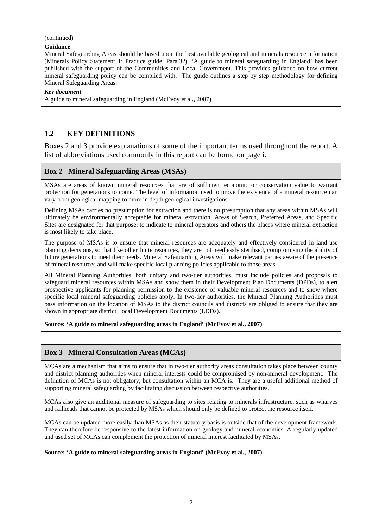#### (continued)

#### **Guidance**

Mineral Safeguarding Areas should be based upon the best available geological and minerals resource information (Minerals Policy Statement 1: Practice guide, Para 32). 'A guide to mineral safeguarding in England' has been published with the support of the Communities and Local Government. This provides guidance on how current mineral safeguarding policy can be complied with. The guide outlines a step by step methodology for defining Mineral Safeguarding Areas.

#### *Key document*

A guide to mineral safeguarding in England (McEvoy et al., 2007)

### **1.2 KEY DEFINITIONS**

Boxes 2 and 3 provide explanations of some of the important terms used throughout the report. A list of abbreviations used commonly in this report can be found on page i.

#### **Box 2 Mineral Safeguarding Areas (MSAs)**

MSAs are areas of known mineral resources that are of sufficient economic or conservation value to warrant protection for generations to come. The level of information used to prove the existence of a mineral resource can vary from geological mapping to more in depth geological investigations.

Defining MSAs carries no presumption for extraction and there is no presumption that any areas within MSAs will ultimately be environmentally acceptable for mineral extraction. Areas of Search, Preferred Areas, and Specific Sites are designated for that purpose; to indicate to mineral operators and others the places where mineral extraction is most likely to take place.

The purpose of MSAs is to ensure that mineral resources are adequately and effectively considered in land-use planning decisions, so that like other finite resources, they are not needlessly sterilised, compromising the ability of future generations to meet their needs. Mineral Safeguarding Areas will make relevant parties aware of the presence of mineral resources and will make specific local planning policies applicable to those areas.

All Mineral Planning Authorities, both unitary and two-tier authorities, must include policies and proposals to safeguard mineral resources within MSAs and show them in their Development Plan Documents (DPDs), to alert prospective applicants for planning permission to the existence of valuable mineral resources and to show where specific local mineral safeguarding policies apply. In two-tier authorities, the Mineral Planning Authorities must pass information on the location of MSAs to the district councils and districts are obliged to ensure that they are shown in appropriate district Local Development Documents (LDDs).

**Source: 'A guide to mineral safeguarding areas in England' (McEvoy et al., 2007)** 

### **Box 3 Mineral Consultation Areas (MCAs)**

MCAs are a mechanism that aims to ensure that in two-tier authority areas consultation takes place between county and district planning authorities when mineral interests could be compromised by non-mineral development. The definition of MCAs is not obligatory, but consultation within an MCA is. They are a useful additional method of supporting mineral safeguarding by facilitating discussion between respective authorities.

MCAs also give an additional measure of safeguarding to sites relating to minerals infrastructure, such as wharves and railheads that cannot be protected by MSAs which should only be defined to protect the resource itself.

MCAs can be updated more easily than MSAs as their statutory basis is outside that of the development framework. They can therefore be responsive to the latest information on geology and mineral economics. A regularly updated and used set of MCAs can complement the protection of mineral interest facilitated by MSAs.

#### **Source: 'A guide to mineral safeguarding areas in England' (McEvoy et al., 2007)**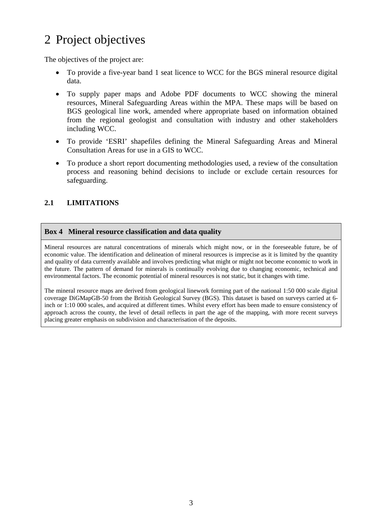## 2 Project objectives

The objectives of the project are:

- To provide a five-year band 1 seat licence to WCC for the BGS mineral resource digital data.
- To supply paper maps and Adobe PDF documents to WCC showing the mineral resources, Mineral Safeguarding Areas within the MPA. These maps will be based on BGS geological line work, amended where appropriate based on information obtained from the regional geologist and consultation with industry and other stakeholders including WCC.
- To provide 'ESRI' shapefiles defining the Mineral Safeguarding Areas and Mineral Consultation Areas for use in a GIS to WCC.
- To produce a short report documenting methodologies used, a review of the consultation process and reasoning behind decisions to include or exclude certain resources for safeguarding.

### **2.1 LIMITATIONS**

### **Box 4 Mineral resource classification and data quality**

Mineral resources are natural concentrations of minerals which might now, or in the foreseeable future, be of economic value. The identification and delineation of mineral resources is imprecise as it is limited by the quantity and quality of data currently available and involves predicting what might or might not become economic to work in the future. The pattern of demand for minerals is continually evolving due to changing economic, technical and environmental factors. The economic potential of mineral resources is not static, but it changes with time.

The mineral resource maps are derived from geological linework forming part of the national 1:50 000 scale digital coverage DiGMapGB-50 from the British Geological Survey (BGS). This dataset is based on surveys carried at 6 inch or 1:10 000 scales, and acquired at different times. Whilst every effort has been made to ensure consistency of approach across the county, the level of detail reflects in part the age of the mapping, with more recent surveys placing greater emphasis on subdivision and characterisation of the deposits.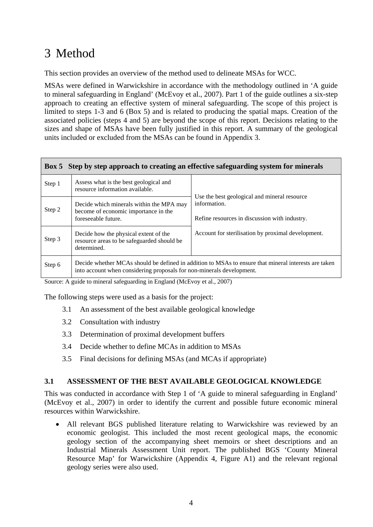## 3 Method

This section provides an overview of the method used to delineate MSAs for WCC.

MSAs were defined in Warwickshire in accordance with the methodology outlined in 'A guide to mineral safeguarding in England' (McEvoy et al., 2007). Part 1 of the guide outlines a six-step approach to creating an effective system of mineral safeguarding. The scope of this project is limited to steps 1-3 and 6 (Box 5) and is related to producing the spatial maps. Creation of the associated policies (steps 4 and 5) are beyond the scope of this report. Decisions relating to the sizes and shape of MSAs have been fully justified in this report. A summary of the geological units included or excluded from the MSAs can be found in Appendix 3.

#### **Box 5 Step by step approach to creating an effective safeguarding system for minerals**

| Step 1 | Assess what is the best geological and<br>resource information available.                               |                                                                                                               |
|--------|---------------------------------------------------------------------------------------------------------|---------------------------------------------------------------------------------------------------------------|
| Step 2 | Decide which minerals within the MPA may<br>become of economic importance in the<br>foreseeable future. | Use the best geological and mineral resource<br>information.<br>Refine resources in discussion with industry. |
| Step 3 | Decide how the physical extent of the<br>resource areas to be safeguarded should be<br>determined.      | Account for sterilisation by proximal development.                                                            |
| Step 6 | into account when considering proposals for non-minerals development.                                   | Decide whether MCAs should be defined in addition to MSAs to ensure that mineral interests are taken          |

Source: A guide to mineral safeguarding in England (McEvoy et al., 2007)

The following steps were used as a basis for the project:

- 3.1 An assessment of the best available geological knowledge
- 3.2 Consultation with industry
- 3.3 Determination of proximal development buffers
- 3.4 Decide whether to define MCAs in addition to MSAs
- 3.5 Final decisions for defining MSAs (and MCAs if appropriate)

#### **3.1 ASSESSMENT OF THE BEST AVAILABLE GEOLOGICAL KNOWLEDGE**

This was conducted in accordance with Step 1 of 'A guide to mineral safeguarding in England' (McEvoy et al., 2007) in order to identify the current and possible future economic mineral resources within Warwickshire.

• All relevant BGS published literature relating to Warwickshire was reviewed by an economic geologist. This included the most recent geological maps, the economic geology section of the accompanying sheet memoirs or sheet descriptions and an Industrial Minerals Assessment Unit report. The published BGS 'County Mineral Resource Map' for Warwickshire (Appendix 4, Figure A1) and the relevant regional geology series were also used.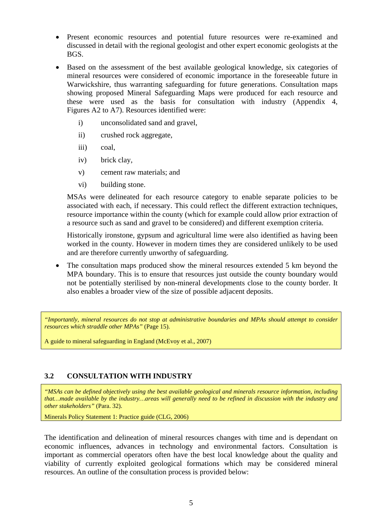- Present economic resources and potential future resources were re-examined and discussed in detail with the regional geologist and other expert economic geologists at the BGS.
- Based on the assessment of the best available geological knowledge, six categories of mineral resources were considered of economic importance in the foreseeable future in Warwickshire, thus warranting safeguarding for future generations. Consultation maps showing proposed Mineral Safeguarding Maps were produced for each resource and these were used as the basis for consultation with industry (Appendix 4, Figures A2 to A7). Resources identified were:
	- i) unconsolidated sand and gravel,
	- ii) crushed rock aggregate,
	- iii) coal,
	- iv) brick clay,
	- v) cement raw materials; and
	- vi) building stone.

MSAs were delineated for each resource category to enable separate policies to be associated with each, if necessary. This could reflect the different extraction techniques, resource importance within the county (which for example could allow prior extraction of a resource such as sand and gravel to be considered) and different exemption criteria.

Historically ironstone, gypsum and agricultural lime were also identified as having been worked in the county. However in modern times they are considered unlikely to be used and are therefore currently unworthy of safeguarding.

• The consultation maps produced show the mineral resources extended 5 km beyond the MPA boundary. This is to ensure that resources just outside the county boundary would not be potentially sterilised by non-mineral developments close to the county border. It also enables a broader view of the size of possible adjacent deposits.

*"Importantly, mineral resources do not stop at administrative boundaries and MPAs should attempt to consider resources which straddle other MPAs"* (Page 15).

A guide to mineral safeguarding in England (McEvoy et al., 2007)

### **3.2 CONSULTATION WITH INDUSTRY**

*"MSAs can be defined objectively using the best available geological and minerals resource information, including that…made available by the industry…areas will generally need to be refined in discussion with the industry and other stakeholders"* (Para. 32).

Minerals Policy Statement 1: Practice guide (CLG, 2006)

The identification and delineation of mineral resources changes with time and is dependant on economic influences, advances in technology and environmental factors. Consultation is important as commercial operators often have the best local knowledge about the quality and viability of currently exploited geological formations which may be considered mineral resources. An outline of the consultation process is provided below: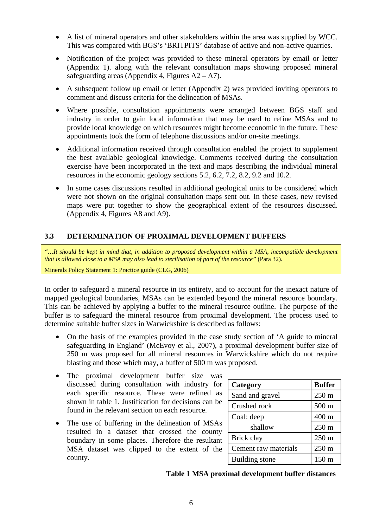- A list of mineral operators and other stakeholders within the area was supplied by WCC. This was compared with BGS's 'BRITPITS' database of active and non-active quarries.
- Notification of the project was provided to these mineral operators by email or letter (Appendix 1). along with the relevant consultation maps showing proposed mineral safeguarding areas (Appendix 4, Figures  $A2 - A7$ ).
- A subsequent follow up email or letter (Appendix 2) was provided inviting operators to comment and discuss criteria for the delineation of MSAs.
- Where possible, consultation appointments were arranged between BGS staff and industry in order to gain local information that may be used to refine MSAs and to provide local knowledge on which resources might become economic in the future. These appointments took the form of telephone discussions and/or on-site meetings.
- Additional information received through consultation enabled the project to supplement the best available geological knowledge. Comments received during the consultation exercise have been incorporated in the text and maps describing the individual mineral resources in the economic geology sections 5.2, 6.2, 7.2, 8.2, 9.2 and 10.2.
- In some cases discussions resulted in additional geological units to be considered which were not shown on the original consultation maps sent out. In these cases, new revised maps were put together to show the geographical extent of the resources discussed. (Appendix 4, Figures A8 and A9).

### **3.3 DETERMINATION OF PROXIMAL DEVELOPMENT BUFFERS**

*"…It should be kept in mind that, in addition to proposed development within a MSA, incompatible development that is allowed close to a MSA may also lead to sterilisation of part of the resource"* (Para 32).

Minerals Policy Statement 1: Practice guide (CLG, 2006)

In order to safeguard a mineral resource in its entirety, and to account for the inexact nature of mapped geological boundaries, MSAs can be extended beyond the mineral resource boundary. This can be achieved by applying a buffer to the mineral resource outline. The purpose of the buffer is to safeguard the mineral resource from proximal development. The process used to determine suitable buffer sizes in Warwickshire is described as follows:

- On the basis of the examples provided in the case study section of 'A guide to mineral safeguarding in England' (McEvoy et al., 2007), a proximal development buffer size of 250 m was proposed for all mineral resources in Warwickshire which do not require blasting and those which may, a buffer of 500 m was proposed.
- The proximal development buffer size was discussed during consultation with industry for each specific resource. These were refined as shown in table 1. Justification for decisions can be found in the relevant section on each resource.
- The use of buffering in the delineation of MSAs resulted in a dataset that crossed the county boundary in some places. Therefore the resultant MSA dataset was clipped to the extent of the county.

| Category              | <b>Buffer</b>   |  |  |  |  |
|-----------------------|-----------------|--|--|--|--|
| Sand and gravel       | $250 \text{ m}$ |  |  |  |  |
| Crushed rock          | 500 m           |  |  |  |  |
| Coal: deep            | 400 m           |  |  |  |  |
| shallow               | $250 \text{ m}$ |  |  |  |  |
| Brick clay            | $250 \text{ m}$ |  |  |  |  |
| Cement raw materials  | $250 \text{ m}$ |  |  |  |  |
| <b>Building</b> stone | $150 \text{ m}$ |  |  |  |  |

 **Table 1 MSA proximal development buffer distances**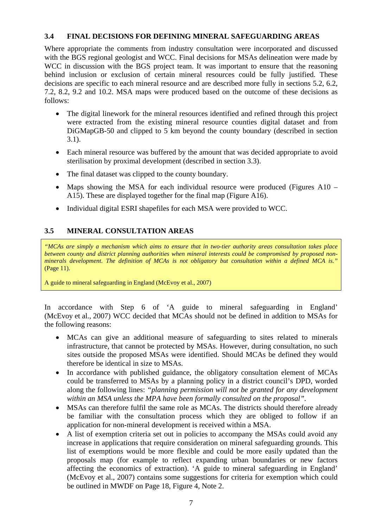### **3.4 FINAL DECISIONS FOR DEFINING MINERAL SAFEGUARDING AREAS**

Where appropriate the comments from industry consultation were incorporated and discussed with the BGS regional geologist and WCC. Final decisions for MSAs delineation were made by WCC in discussion with the BGS project team. It was important to ensure that the reasoning behind inclusion or exclusion of certain mineral resources could be fully justified. These decisions are specific to each mineral resource and are described more fully in sections 5.2, 6.2, 7.2, 8.2, 9.2 and 10.2. MSA maps were produced based on the outcome of these decisions as follows:

- The digital linework for the mineral resources identified and refined through this project were extracted from the existing mineral resource counties digital dataset and from DiGMapGB-50 and clipped to 5 km beyond the county boundary (described in section 3.1).
- Each mineral resource was buffered by the amount that was decided appropriate to avoid sterilisation by proximal development (described in section 3.3).
- The final dataset was clipped to the county boundary.
- Maps showing the MSA for each individual resource were produced (Figures A10 A15). These are displayed together for the final map (Figure A16).
- Individual digital ESRI shapefiles for each MSA were provided to WCC.

### **3.5 MINERAL CONSULTATION AREAS**

*"MCAs are simply a mechanism which aims to ensure that in two-tier authority areas consultation takes place between county and district planning authorities when mineral interests could be compromised by proposed nonminerals development. The definition of MCAs is not obligatory but consultation within a defined MCA is."*  (Page 11).

A guide to mineral safeguarding in England (McEvoy et al., 2007)

In accordance with Step 6 of 'A guide to mineral safeguarding in England' (McEvoy et al., 2007) WCC decided that MCAs should not be defined in addition to MSAs for the following reasons:

- MCAs can give an additional measure of safeguarding to sites related to minerals infrastructure, that cannot be protected by MSAs. However, during consultation, no such sites outside the proposed MSAs were identified. Should MCAs be defined they would therefore be identical in size to MSAs.
- In accordance with published guidance, the obligatory consultation element of MCAs could be transferred to MSAs by a planning policy in a district council's DPD, worded along the following lines: *"planning permission will not be granted for any development within an MSA unless the MPA have been formally consulted on the proposal".*
- MSAs can therefore fulfil the same role as MCAs. The districts should therefore already be familiar with the consultation process which they are obliged to follow if an application for non-mineral development is received within a MSA.
- A list of exemption criteria set out in policies to accompany the MSAs could avoid any increase in applications that require consideration on mineral safeguarding grounds. This list of exemptions would be more flexible and could be more easily updated than the proposals map (for example to reflect expanding urban boundaries or new factors affecting the economics of extraction). 'A guide to mineral safeguarding in England' (McEvoy et al., 2007) contains some suggestions for criteria for exemption which could be outlined in MWDF on Page 18, Figure 4, Note 2.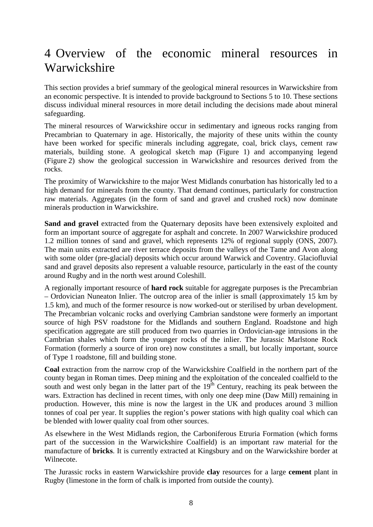## 4 Overview of the economic mineral resources in Warwickshire

This section provides a brief summary of the geological mineral resources in Warwickshire from an economic perspective. It is intended to provide background to Sections 5 to 10. These sections discuss individual mineral resources in more detail including the decisions made about mineral safeguarding.

The mineral resources of Warwickshire occur in sedimentary and igneous rocks ranging from Precambrian to Quaternary in age. Historically, the majority of these units within the county have been worked for specific minerals including aggregate, coal, brick clays, cement raw materials, building stone. A geological sketch map (Figure 1) and accompanying legend (Figure 2) show the geological succession in Warwickshire and resources derived from the rocks.

The proximity of Warwickshire to the major West Midlands conurbation has historically led to a high demand for minerals from the county. That demand continues, particularly for construction raw materials. Aggregates (in the form of sand and gravel and crushed rock) now dominate minerals production in Warwickshire.

**Sand and gravel** extracted from the Quaternary deposits have been extensively exploited and form an important source of aggregate for asphalt and concrete. In 2007 Warwickshire produced 1.2 million tonnes of sand and gravel, which represents 12% of regional supply (ONS, 2007). The main units extracted are river terrace deposits from the valleys of the Tame and Avon along with some older (pre-glacial) deposits which occur around Warwick and Coventry. Glaciofluvial sand and gravel deposits also represent a valuable resource, particularly in the east of the county around Rugby and in the north west around Coleshill.

A regionally important resource of **hard rock** suitable for aggregate purposes is the Precambrian – Ordovician Nuneaton Inlier. The outcrop area of the inlier is small (approximately 15 km by 1.5 km), and much of the former resource is now worked-out or sterilised by urban development. The Precambrian volcanic rocks and overlying Cambrian sandstone were formerly an important source of high PSV roadstone for the Midlands and southern England. Roadstone and high specification aggregate are still produced from two quarries in Ordovician-age intrusions in the Cambrian shales which form the younger rocks of the inlier. The Jurassic Marlstone Rock Formation (formerly a source of iron ore) now constitutes a small, but locally important, source of Type 1 roadstone, fill and building stone.

**Coal** extraction from the narrow crop of the Warwickshire Coalfield in the northern part of the county began in Roman times. Deep mining and the exploitation of the concealed coalfield to the south and west only began in the latter part of the  $19<sup>th</sup>$  Century, reaching its peak between the wars. Extraction has declined in recent times, with only one deep mine (Daw Mill) remaining in production. However, this mine is now the largest in the UK and produces around 3 million tonnes of coal per year. It supplies the region's power stations with high quality coal which can be blended with lower quality coal from other sources.

As elsewhere in the West Midlands region, the Carboniferous Etruria Formation (which forms part of the succession in the Warwickshire Coalfield) is an important raw material for the manufacture of **bricks**. It is currently extracted at Kingsbury and on the Warwickshire border at Wilnecote.

The Jurassic rocks in eastern Warwickshire provide **clay** resources for a large **cement** plant in Rugby (limestone in the form of chalk is imported from outside the county).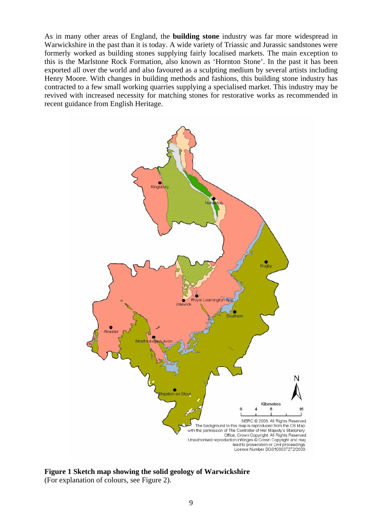As in many other areas of England, the **building stone** industry was far more widespread in Warwickshire in the past than it is today. A wide variety of Triassic and Jurassic sandstones were formerly worked as building stones supplying fairly localised markets. The main exception to this is the Marlstone Rock Formation, also known as 'Hornton Stone'. In the past it has been exported all over the world and also favoured as a sculpting medium by several artists including Henry Moore. With changes in building methods and fashions, this building stone industry has contracted to a few small working quarries supplying a specialised market. This industry may be revived with increased necessity for matching stones for restorative works as recommended in recent guidance from English Heritage.



**Figure 1 Sketch map showing the solid geology of Warwickshire**  (For explanation of colours, see Figure 2).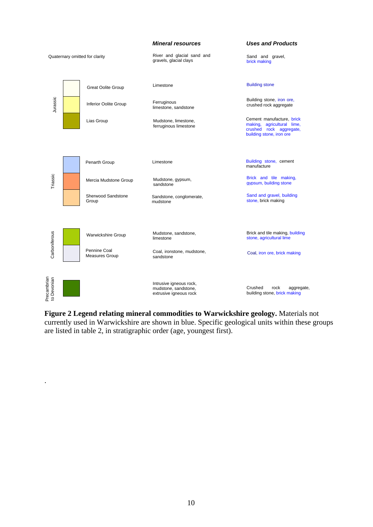

**Figure 2 Legend relating mineral commodities to Warwickshire geology.** Materials not currently used in Warwickshire are shown in blue. Specific geological units within these groups are listed in table 2, in stratigraphic order (age, youngest first).

.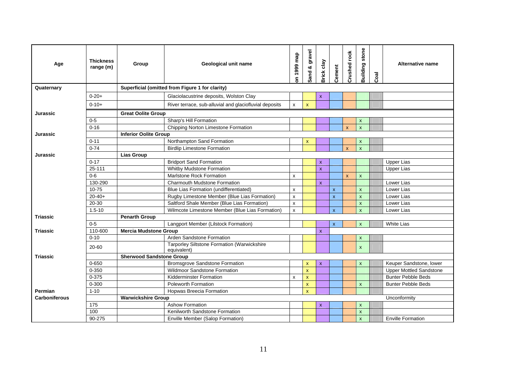| Age                  | <b>Thickness</b><br>range (m)                   | Group                           | Geological unit name                                       | on 1999 map | Sand & gravel             | Brick clay   | Cement       | Crushed rock | stone<br>Building         | Coal | Alternative name               |
|----------------------|-------------------------------------------------|---------------------------------|------------------------------------------------------------|-------------|---------------------------|--------------|--------------|--------------|---------------------------|------|--------------------------------|
| Quaternary           | Superficial (omitted from Figure 1 for clarity) |                                 |                                                            |             |                           |              |              |              |                           |      |                                |
|                      | $0 - 20 +$                                      |                                 | Glaciolacustrine deposits, Wolston Clay                    |             |                           | $\mathbf{x}$ |              |              |                           |      |                                |
|                      | $0 - 10 +$                                      |                                 | River terrace, sub-alluvial and glaciofluvial deposits     | x           | $\mathbf{x}$              |              |              |              |                           |      |                                |
| Jurassic             |                                                 | <b>Great Oolite Group</b>       |                                                            |             |                           |              |              |              |                           |      |                                |
|                      | $0-5$                                           |                                 | Sharp's Hill Formation                                     |             |                           |              |              |              | $\pmb{\chi}$              |      |                                |
|                      | $0 - 16$                                        |                                 | Chipping Norton Limestone Formation                        |             |                           |              |              | $\mathsf{x}$ | $\mathsf{x}$              |      |                                |
| <b>Jurassic</b>      |                                                 | <b>Inferior Oolite Group</b>    |                                                            |             |                           |              |              |              |                           |      |                                |
|                      | $0 - 11$                                        |                                 | Northampton Sand Formation                                 |             | $\boldsymbol{\mathsf{x}}$ |              |              |              | $\pmb{\chi}$              |      |                                |
|                      | $0 - 74$                                        |                                 | <b>Birdlip Limestone Formation</b>                         |             |                           |              |              | $\mathsf{x}$ | $\boldsymbol{\mathsf{x}}$ |      |                                |
| Jurassic             |                                                 | <b>Lias Group</b>               |                                                            |             |                           |              |              |              |                           |      |                                |
|                      | $0 - 17$                                        |                                 | <b>Bridport Sand Formation</b>                             |             |                           | $\mathbf{x}$ |              |              |                           |      | <b>Upper Lias</b>              |
|                      | 25-111                                          |                                 | Whitby Mudstone Formation                                  |             |                           | $\mathbf{x}$ |              |              |                           |      | <b>Upper Lias</b>              |
|                      | $0 - 6$                                         |                                 | <b>Marlstone Rock Formation</b>                            | x           |                           |              |              | $\mathsf{x}$ | $\mathsf{x}$              |      |                                |
|                      | 130-290                                         |                                 | <b>Charmouth Mudstone Formation</b>                        |             |                           | $\mathbf{x}$ |              |              |                           |      | Lower Lias                     |
|                      | $10 - 75$                                       |                                 | Blue Lias Formation (undifferentiated)                     | x           |                           |              | $\mathbf{x}$ |              | $\mathsf{x}$              |      | Lower Lias                     |
|                      | $20 - 40 +$                                     |                                 | Rugby Limestone Member (Blue Lias Formation)               | x           |                           |              | $\mathsf{x}$ |              | $\boldsymbol{\mathsf{x}}$ |      | Lower Lias                     |
|                      | 20-30                                           |                                 | Saltford Shale Member (Blue Lias Formation)                | x           |                           |              |              |              | $\mathsf{x}$              |      | Lower Lias                     |
|                      | $1.5 - 10$                                      |                                 | Wilmcote Limestone Member (Blue Lias Formation)            | x           |                           |              | $\mathbf{x}$ |              | $\mathbf{x}$              |      | Lower Lias                     |
| <b>Triassic</b>      |                                                 | <b>Penarth Group</b>            |                                                            |             |                           |              |              |              |                           |      |                                |
|                      | $0 - 5$                                         |                                 | Langport Member (Lilstock Formation)                       |             |                           |              | $\mathsf{x}$ |              | $\boldsymbol{\mathsf{x}}$ |      | <b>White Lias</b>              |
| <b>Triassic</b>      | 110-600                                         | <b>Mercia Mudstone Group</b>    |                                                            |             |                           | $\mathsf{x}$ |              |              |                           |      |                                |
|                      | $0 - 10$                                        |                                 | Arden Sandstone Formation                                  |             |                           |              |              |              | $\boldsymbol{\mathsf{x}}$ |      |                                |
|                      | 20-60                                           |                                 | Tarporley Siltstone Formation (Warwickshire<br>equivalent) |             |                           |              |              |              | $\mathsf{x}$              |      |                                |
| <b>Triassic</b>      |                                                 | <b>Sherwood Sandstone Group</b> |                                                            |             |                           |              |              |              |                           |      |                                |
|                      | $0 - 650$                                       |                                 | Bromsgrove Sandstone Formation                             |             | $\mathbf{x}$              | $\mathbf{x}$ |              |              | $\boldsymbol{\mathsf{x}}$ |      | Keuper Sandstone, lower        |
|                      | 0-350                                           |                                 | <b>Wildmoor Sandstone Formation</b>                        |             | $\mathbf{x}$              |              |              |              |                           |      | <b>Upper Mottled Sandstone</b> |
|                      | $0 - 375$                                       |                                 | Kidderminster Formation                                    | X           | $\boldsymbol{\mathsf{x}}$ |              |              |              |                           |      | <b>Bunter Pebble Beds</b>      |
|                      | $0 - 300$                                       |                                 | <b>Poleworth Formation</b>                                 |             | $\mathbf{x}$              |              |              |              | $\mathsf{x}$              |      | <b>Bunter Pebble Beds</b>      |
| Permian              | $1 - 10$                                        |                                 | <b>Hopwas Breecia Formation</b>                            |             | $\mathbf{x}$              |              |              |              |                           |      |                                |
| <b>Carboniferous</b> |                                                 | <b>Warwickshire Group</b>       |                                                            |             |                           |              |              |              |                           |      | Unconformity                   |
|                      | 175                                             |                                 | <b>Ashow Formation</b>                                     |             |                           | $\mathbf{x}$ |              |              | $\mathsf{x}$              |      |                                |
|                      | 100                                             |                                 | Kenilworth Sandstone Formation                             |             |                           |              |              |              | $\mathsf{x}$              |      |                                |
|                      | 90-275                                          |                                 | Enville Member (Salop Formation)                           |             |                           |              |              |              | $\mathsf{x}$              |      | <b>Enville Formation</b>       |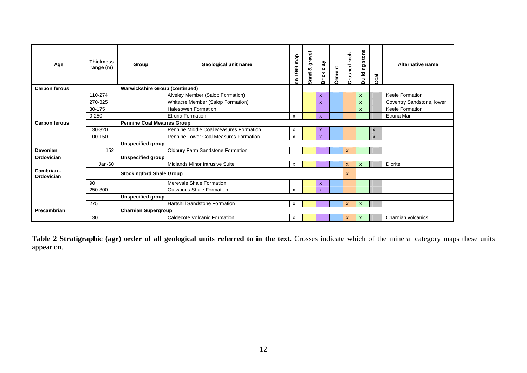| Age                      | <b>Thickness</b><br>range (m) | Group                                 | Geological unit name                    | map<br>1999<br>ã          | gravel<br>Sand & | clay<br><b>Brick</b> | Cement | Crushed rock | stone<br>Building         | Coal         | <b>Alternative name</b>   |
|--------------------------|-------------------------------|---------------------------------------|-----------------------------------------|---------------------------|------------------|----------------------|--------|--------------|---------------------------|--------------|---------------------------|
| <b>Carboniferous</b>     |                               | <b>Warwickshire Group (continued)</b> |                                         |                           |                  |                      |        |              |                           |              |                           |
|                          | 110-274                       |                                       | Alveley Member (Salop Formation)        |                           |                  | $\mathbf x$          |        |              | $\mathsf{x}$              |              | Keele Formation           |
|                          | 270-325                       |                                       | Whitacre Member (Salop Formation)       |                           |                  | $\mathsf{x}$         |        |              | $\mathsf{x}$              |              | Coventry Sandstone, lower |
|                          | 30-175                        |                                       | <b>Halesowen Formation</b>              |                           |                  |                      |        |              | $\mathsf{x}$              |              | Keele Formation           |
|                          | $0 - 250$                     |                                       | <b>Etruria Formation</b>                | $\boldsymbol{\mathsf{x}}$ |                  | $\mathsf{x}$         |        |              |                           |              | <b>Etruria Marl</b>       |
| <b>Carboniferous</b>     |                               | <b>Pennine Coal Meaures Group</b>     |                                         |                           |                  |                      |        |              |                           |              |                           |
|                          | 130-320                       |                                       | Pennine Middle Coal Measures Formation  | $\boldsymbol{\mathsf{x}}$ |                  | $\mathsf{x}$         |        |              |                           | X            |                           |
|                          | 100-150                       |                                       | Pennine Lower Coal Measures Formation   | $\boldsymbol{\mathsf{x}}$ |                  | $\mathbf x$          |        |              |                           | $\mathsf{x}$ |                           |
|                          |                               | <b>Unspecified group</b>              |                                         |                           |                  |                      |        |              |                           |              |                           |
| Devonian                 | 152                           |                                       | <b>Oldbury Farm Sandstone Formation</b> |                           |                  |                      |        | X            |                           |              |                           |
| Ordovician               |                               | <b>Unspecified group</b>              |                                         |                           |                  |                      |        |              |                           |              |                           |
|                          | $Jan-60$                      |                                       | <b>Midlands Minor Intrusive Suite</b>   | X                         |                  |                      |        | $\mathsf{x}$ | $\mathsf{x}$              |              | <b>Diorite</b>            |
| Cambrian -<br>Ordovician |                               | <b>Stockingford Shale Group</b>       |                                         |                           |                  |                      |        | X            |                           |              |                           |
|                          | 90                            |                                       | Merevale Shale Formation                |                           |                  | $\mathsf{x}$         |        |              |                           |              |                           |
|                          | 250-300                       |                                       | Outwoods Shale Formation                | X                         |                  | $\mathsf{x}$         |        |              |                           |              |                           |
|                          |                               | <b>Unspecified group</b>              |                                         |                           |                  |                      |        |              |                           |              |                           |
|                          | 275                           |                                       | <b>Hartshill Sandstone Formation</b>    | X                         |                  |                      |        | X            | $\boldsymbol{\mathsf{x}}$ |              |                           |
| Precambrian              |                               | <b>Charnian Supergroup</b>            |                                         |                           |                  |                      |        |              |                           |              |                           |
|                          | 130                           |                                       | Caldecote Volcanic Formation            | $\mathsf{x}$              |                  |                      |        | X            | $\mathbf{x}$              |              | Charnian volcanics        |

Table 2 Stratigraphic (age) order of all geological units referred to in the text. Crosses indicate which of the mineral category maps these units appear on.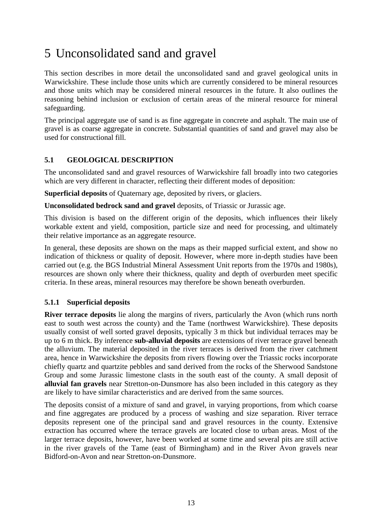## 5 Unconsolidated sand and gravel

This section describes in more detail the unconsolidated sand and gravel geological units in Warwickshire. These include those units which are currently considered to be mineral resources and those units which may be considered mineral resources in the future. It also outlines the reasoning behind inclusion or exclusion of certain areas of the mineral resource for mineral safeguarding.

The principal aggregate use of sand is as fine aggregate in concrete and asphalt. The main use of gravel is as coarse aggregate in concrete. Substantial quantities of sand and gravel may also be used for constructional fill.

### **5.1 GEOLOGICAL DESCRIPTION**

The unconsolidated sand and gravel resources of Warwickshire fall broadly into two categories which are very different in character, reflecting their different modes of deposition:

**Superficial deposits** of Quaternary age, deposited by rivers, or glaciers.

**Unconsolidated bedrock sand and gravel** deposits, of Triassic or Jurassic age.

This division is based on the different origin of the deposits, which influences their likely workable extent and yield, composition, particle size and need for processing, and ultimately their relative importance as an aggregate resource.

In general, these deposits are shown on the maps as their mapped surficial extent, and show no indication of thickness or quality of deposit. However, where more in-depth studies have been carried out (e.g. the BGS Industrial Mineral Assessment Unit reports from the 1970s and 1980s), resources are shown only where their thickness, quality and depth of overburden meet specific criteria. In these areas, mineral resources may therefore be shown beneath overburden.

### **5.1.1 Superficial deposits**

**River terrace deposits** lie along the margins of rivers, particularly the Avon (which runs north east to south west across the county) and the Tame (northwest Warwickshire). These deposits usually consist of well sorted gravel deposits, typically 3 m thick but individual terraces may be up to 6 m thick. By inference **sub-alluvial deposits** are extensions of river terrace gravel beneath the alluvium. The material deposited in the river terraces is derived from the river catchment area, hence in Warwickshire the deposits from rivers flowing over the Triassic rocks incorporate chiefly quartz and quartzite pebbles and sand derived from the rocks of the Sherwood Sandstone Group and some Jurassic limestone clasts in the south east of the county. A small deposit of **alluvial fan gravels** near Stretton-on-Dunsmore has also been included in this category as they are likely to have similar characteristics and are derived from the same sources.

The deposits consist of a mixture of sand and gravel, in varying proportions, from which coarse and fine aggregates are produced by a process of washing and size separation. River terrace deposits represent one of the principal sand and gravel resources in the county. Extensive extraction has occurred where the terrace gravels are located close to urban areas. Most of the larger terrace deposits, however, have been worked at some time and several pits are still active in the river gravels of the Tame (east of Birmingham) and in the River Avon gravels near Bidford-on-Avon and near Stretton-on-Dunsmore.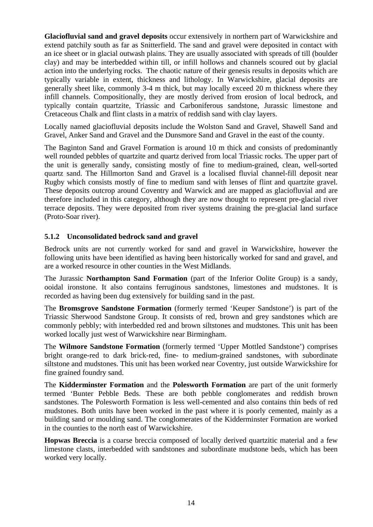**Glaciofluvial sand and gravel deposits** occur extensively in northern part of Warwickshire and extend patchily south as far as Snitterfield. The sand and gravel were deposited in contact with an ice sheet or in glacial outwash plains. They are usually associated with spreads of till (boulder clay) and may be interbedded within till, or infill hollows and channels scoured out by glacial action into the underlying rocks. The chaotic nature of their genesis results in deposits which are typically variable in extent, thickness and lithology. In Warwickshire, glacial deposits are generally sheet like, commonly 3-4 m thick, but may locally exceed 20 m thickness where they infill channels. Compositionally, they are mostly derived from erosion of local bedrock, and typically contain quartzite, Triassic and Carboniferous sandstone, Jurassic limestone and Cretaceous Chalk and flint clasts in a matrix of reddish sand with clay layers.

Locally named glaciofluvial deposits include the Wolston Sand and Gravel, Shawell Sand and Gravel, Anker Sand and Gravel and the Dunsmore Sand and Gravel in the east of the county.

The Baginton Sand and Gravel Formation is around 10 m thick and consists of predominantly well rounded pebbles of quartzite and quartz derived from local Triassic rocks. The upper part of the unit is generally sandy, consisting mostly of fine to medium-grained, clean, well-sorted quartz sand. The Hillmorton Sand and Gravel is a localised fluvial channel-fill deposit near Rugby which consists mostly of fine to medium sand with lenses of flint and quartzite gravel. These deposits outcrop around Coventry and Warwick and are mapped as glaciofluvial and are therefore included in this category, although they are now thought to represent pre-glacial river terrace deposits. They were deposited from river systems draining the pre-glacial land surface (Proto-Soar river).

#### **5.1.2 Unconsolidated bedrock sand and gravel**

Bedrock units are not currently worked for sand and gravel in Warwickshire, however the following units have been identified as having been historically worked for sand and gravel, and are a worked resource in other counties in the West Midlands.

The Jurassic **Northampton Sand Formation** (part of the Inferior Oolite Group) is a sandy, ooidal ironstone. It also contains ferruginous sandstones, limestones and mudstones. It is recorded as having been dug extensively for building sand in the past.

The **Bromsgrove Sandstone Formation** (formerly termed 'Keuper Sandstone') is part of the Triassic Sherwood Sandstone Group. It consists of red, brown and grey sandstones which are commonly pebbly; with interbedded red and brown siltstones and mudstones. This unit has been worked locally just west of Warwickshire near Birmingham.

The **Wilmore Sandstone Formation** (formerly termed 'Upper Mottled Sandstone') comprises bright orange-red to dark brick-red, fine- to medium-grained sandstones, with subordinate siltstone and mudstones. This unit has been worked near Coventry, just outside Warwickshire for fine grained foundry sand.

The **Kidderminster Formation** and the **Polesworth Formation** are part of the unit formerly termed 'Bunter Pebble Beds. These are both pebble conglomerates and reddish brown sandstones. The Polesworth Formation is less well-cemented and also contains thin beds of red mudstones. Both units have been worked in the past where it is poorly cemented, mainly as a building sand or moulding sand. The conglomerates of the Kidderminster Formation are worked in the counties to the north east of Warwickshire.

**Hopwas Breccia** is a coarse breccia composed of locally derived quartzitic material and a few limestone clasts, interbedded with sandstones and subordinate mudstone beds, which has been worked very locally.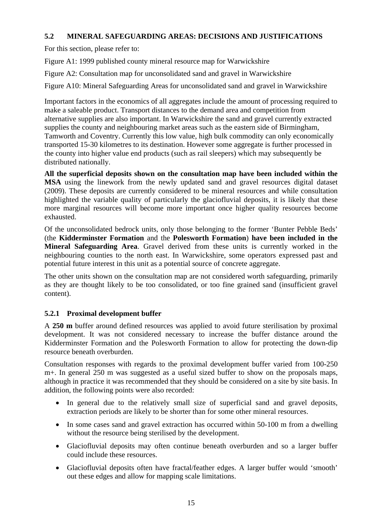### **5.2 MINERAL SAFEGUARDING AREAS: DECISIONS AND JUSTIFICATIONS**

For this section, please refer to:

Figure A1: 1999 published county mineral resource map for Warwickshire

Figure A2: Consultation map for unconsolidated sand and gravel in Warwickshire

Figure A10: Mineral Safeguarding Areas for unconsolidated sand and gravel in Warwickshire

Important factors in the economics of all aggregates include the amount of processing required to make a saleable product. Transport distances to the demand area and competition from alternative supplies are also important. In Warwickshire the sand and gravel currently extracted supplies the county and neighbouring market areas such as the eastern side of Birmingham, Tamworth and Coventry. Currently this low value, high bulk commodity can only economically transported 15-30 kilometres to its destination. However some aggregate is further processed in the county into higher value end products (such as rail sleepers) which may subsequently be distributed nationally.

**All the superficial deposits shown on the consultation map have been included within the MSA** using the linework from the newly updated sand and gravel resources digital dataset (2009). These deposits are currently considered to be mineral resources and while consultation highlighted the variable quality of particularly the glaciofluvial deposits, it is likely that these more marginal resources will become more important once higher quality resources become exhausted.

Of the unconsolidated bedrock units, only those belonging to the former 'Bunter Pebble Beds' (the **Kidderminster Formation** and the **Polesworth Formation**) **have been included in the Mineral Safeguarding Area**. Gravel derived from these units is currently worked in the neighbouring counties to the north east. In Warwickshire, some operators expressed past and potential future interest in this unit as a potential source of concrete aggregate.

The other units shown on the consultation map are not considered worth safeguarding, primarily as they are thought likely to be too consolidated, or too fine grained sand (insufficient gravel content).

### **5.2.1 Proximal development buffer**

A **250 m** buffer around defined resources was applied to avoid future sterilisation by proximal development. It was not considered necessary to increase the buffer distance around the Kidderminster Formation and the Polesworth Formation to allow for protecting the down-dip resource beneath overburden.

Consultation responses with regards to the proximal development buffer varied from 100-250 m+. In general 250 m was suggested as a useful sized buffer to show on the proposals maps, although in practice it was recommended that they should be considered on a site by site basis. In addition, the following points were also recorded:

- In general due to the relatively small size of superficial sand and gravel deposits, extraction periods are likely to be shorter than for some other mineral resources.
- In some cases sand and gravel extraction has occurred within 50-100 m from a dwelling without the resource being sterilised by the development.
- Glaciofluvial deposits may often continue beneath overburden and so a larger buffer could include these resources.
- Glaciofluvial deposits often have fractal/feather edges. A larger buffer would 'smooth' out these edges and allow for mapping scale limitations.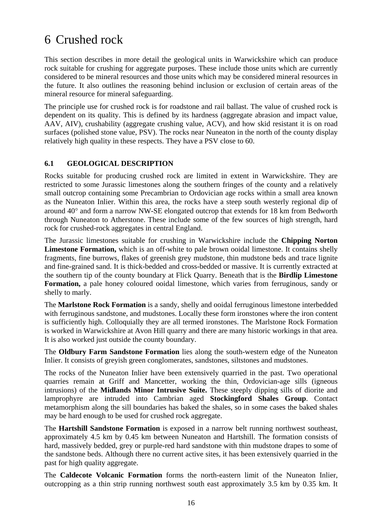## 6 Crushed rock

This section describes in more detail the geological units in Warwickshire which can produce rock suitable for crushing for aggregate purposes. These include those units which are currently considered to be mineral resources and those units which may be considered mineral resources in the future. It also outlines the reasoning behind inclusion or exclusion of certain areas of the mineral resource for mineral safeguarding.

The principle use for crushed rock is for roadstone and rail ballast. The value of crushed rock is dependent on its quality. This is defined by its hardness (aggregate abrasion and impact value, AAV, AIV), crushability (aggregate crushing value, ACV), and how skid resistant it is on road surfaces (polished stone value, PSV). The rocks near Nuneaton in the north of the county display relatively high quality in these respects. They have a PSV close to 60.

### **6.1 GEOLOGICAL DESCRIPTION**

Rocks suitable for producing crushed rock are limited in extent in Warwickshire. They are restricted to some Jurassic limestones along the southern fringes of the county and a relatively small outcrop containing some Precambrian to Ordovician age rocks within a small area known as the Nuneaton Inlier. Within this area, the rocks have a steep south westerly regional dip of around 40° and form a narrow NW-SE elongated outcrop that extends for 18 km from Bedworth through Nuneaton to Atherstone. These include some of the few sources of high strength, hard rock for crushed-rock aggregates in central England.

The Jurassic limestones suitable for crushing in Warwickshire include the **Chipping Norton Limestone Formation,** which is an off-white to pale brown ooidal limestone. It contains shelly fragments, fine burrows, flakes of greenish grey mudstone, thin mudstone beds and trace lignite and fine-grained sand. It is thick-bedded and cross-bedded or massive. It is currently extracted at the southern tip of the county boundary at Flick Quarry. Beneath that is the **Birdlip Limestone Formation,** a pale honey coloured ooidal limestone, which varies from ferruginous, sandy or shelly to marly.

The **Marlstone Rock Formation** is a sandy, shelly and ooidal ferruginous limestone interbedded with ferruginous sandstone, and mudstones. Locally these form ironstones where the iron content is sufficiently high. Colloquially they are all termed ironstones. The Marlstone Rock Formation is worked in Warwickshire at Avon Hill quarry and there are many historic workings in that area. It is also worked just outside the county boundary.

The **Oldbury Farm Sandstone Formation** lies along the south-western edge of the Nuneaton Inlier. It consists of greyish green conglomerates, sandstones, siltstones and mudstones.

The rocks of the Nuneaton Inlier have been extensively quarried in the past. Two operational quarries remain at Griff and Mancetter, working the thin, Ordovician-age sills (igneous intrusions) of the **Midlands Minor Intrusive Suite.** These steeply dipping sills of diorite and lamprophyre are intruded into Cambrian aged **Stockingford Shales Group**. Contact metamorphism along the sill boundaries has baked the shales, so in some cases the baked shales may be hard enough to be used for crushed rock aggregate.

The **Hartshill Sandstone Formation** is exposed in a narrow belt running northwest southeast, approximately 4.5 km by 0.45 km between Nuneaton and Hartshill. The formation consists of hard, massively bedded, grey or purple-red hard sandstone with thin mudstone drapes to some of the sandstone beds. Although there no current active sites, it has been extensively quarried in the past for high quality aggregate.

The **Caldecote Volcanic Formation** forms the north-eastern limit of the Nuneaton Inlier, outcropping as a thin strip running northwest south east approximately 3.5 km by 0.35 km. It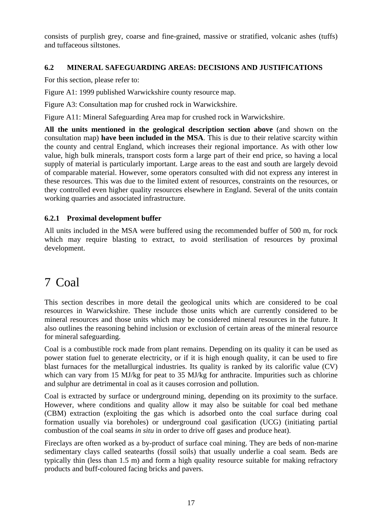consists of purplish grey, coarse and fine-grained, massive or stratified, volcanic ashes (tuffs) and tuffaceous siltstones.

### **6.2 MINERAL SAFEGUARDING AREAS: DECISIONS AND JUSTIFICATIONS**

For this section, please refer to:

Figure A1: 1999 published Warwickshire county resource map.

Figure A3: Consultation map for crushed rock in Warwickshire.

Figure A11: Mineral Safeguarding Area map for crushed rock in Warwickshire.

**All the units mentioned in the geological description section above** (and shown on the consultation map) **have been included in the MSA**. This is due to their relative scarcity within the county and central England, which increases their regional importance. As with other low value, high bulk minerals, transport costs form a large part of their end price, so having a local supply of material is particularly important. Large areas to the east and south are largely devoid of comparable material. However, some operators consulted with did not express any interest in these resources. This was due to the limited extent of resources, constraints on the resources, or they controlled even higher quality resources elsewhere in England. Several of the units contain working quarries and associated infrastructure.

### **6.2.1 Proximal development buffer**

All units included in the MSA were buffered using the recommended buffer of 500 m, for rock which may require blasting to extract, to avoid sterilisation of resources by proximal development.

## 7 Coal

This section describes in more detail the geological units which are considered to be coal resources in Warwickshire. These include those units which are currently considered to be mineral resources and those units which may be considered mineral resources in the future. It also outlines the reasoning behind inclusion or exclusion of certain areas of the mineral resource for mineral safeguarding.

Coal is a combustible rock made from plant remains. Depending on its quality it can be used as power station fuel to generate electricity, or if it is high enough quality, it can be used to fire blast furnaces for the metallurgical industries. Its quality is ranked by its calorific value (CV) which can vary from 15 MJ/kg for peat to 35 MJ/kg for anthracite. Impurities such as chlorine and sulphur are detrimental in coal as it causes corrosion and pollution.

Coal is extracted by surface or underground mining, depending on its proximity to the surface. However, where conditions and quality allow it may also be suitable for coal bed methane (CBM) extraction (exploiting the gas which is adsorbed onto the coal surface during coal formation usually via boreholes) or underground coal gasification (UCG) (initiating partial combustion of the coal seams *in situ* in order to drive off gases and produce heat).

Fireclays are often worked as a by-product of surface coal mining. They are beds of non-marine sedimentary clays called seatearths (fossil soils) that usually underlie a coal seam. Beds are typically thin (less than 1.5 m) and form a high quality resource suitable for making refractory products and buff-coloured facing bricks and pavers.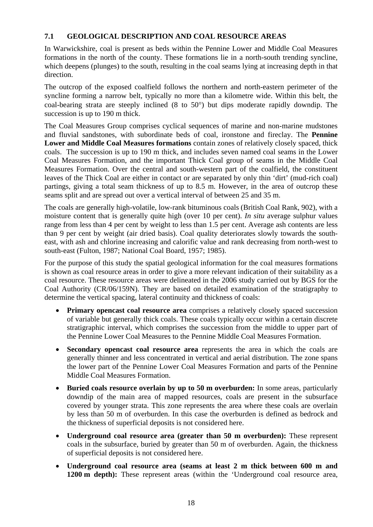### **7.1 GEOLOGICAL DESCRIPTION AND COAL RESOURCE AREAS**

In Warwickshire, coal is present as beds within the Pennine Lower and Middle Coal Measures formations in the north of the county. These formations lie in a north-south trending syncline, which deepens (plunges) to the south, resulting in the coal seams lying at increasing depth in that direction.

The outcrop of the exposed coalfield follows the northern and north-eastern perimeter of the syncline forming a narrow belt, typically no more than a kilometre wide. Within this belt, the coal-bearing strata are steeply inclined (8 to 50°) but dips moderate rapidly downdip. The succession is up to 190 m thick.

The Coal Measures Group comprises cyclical sequences of marine and non-marine mudstones and fluvial sandstones, with subordinate beds of coal, ironstone and fireclay. The **Pennine Lower and Middle Coal Measures formations** contain zones of relatively closely spaced, thick coals. The succession is up to 190 m thick, and includes seven named coal seams in the Lower Coal Measures Formation, and the important Thick Coal group of seams in the Middle Coal Measures Formation. Over the central and south-western part of the coalfield, the constituent leaves of the Thick Coal are either in contact or are separated by only thin 'dirt' (mud-rich coal) partings, giving a total seam thickness of up to 8.5 m. However, in the area of outcrop these seams split and are spread out over a vertical interval of between 25 and 35 m.

The coals are generally high-volatile, low-rank bituminous coals (British Coal Rank, 902), with a moisture content that is generally quite high (over 10 per cent). *In situ* average sulphur values range from less than 4 per cent by weight to less than 1.5 per cent. Average ash contents are less than 9 per cent by weight (air dried basis). Coal quality deteriorates slowly towards the southeast, with ash and chlorine increasing and calorific value and rank decreasing from north-west to south-east (Fulton, 1987; National Coal Board, 1957; 1985).

For the purpose of this study the spatial geological information for the coal measures formations is shown as coal resource areas in order to give a more relevant indication of their suitability as a coal resource. These resource areas were delineated in the 2006 study carried out by BGS for the Coal Authority (CR/06/159N). They are based on detailed examination of the stratigraphy to determine the vertical spacing, lateral continuity and thickness of coals:

- **Primary opencast coal resource area** comprises a relatively closely spaced succession of variable but generally thick coals. These coals typically occur within a certain discrete stratigraphic interval, which comprises the succession from the middle to upper part of the Pennine Lower Coal Measures to the Pennine Middle Coal Measures Formation.
- **Secondary opencast coal resource area** represents the area in which the coals are generally thinner and less concentrated in vertical and aerial distribution. The zone spans the lower part of the Pennine Lower Coal Measures Formation and parts of the Pennine Middle Coal Measures Formation.
- **Buried coals resource overlain by up to 50 m overburden:** In some areas, particularly downdip of the main area of mapped resources, coals are present in the subsurface covered by younger strata. This zone represents the area where these coals are overlain by less than 50 m of overburden. In this case the overburden is defined as bedrock and the thickness of superficial deposits is not considered here.
- **Underground coal resource area (greater than 50 m overburden):** These represent coals in the subsurface, buried by greater than 50 m of overburden. Again, the thickness of superficial deposits is not considered here.
- **Underground coal resource area (seams at least 2 m thick between 600 m and 1200 m depth):** These represent areas (within the 'Underground coal resource area,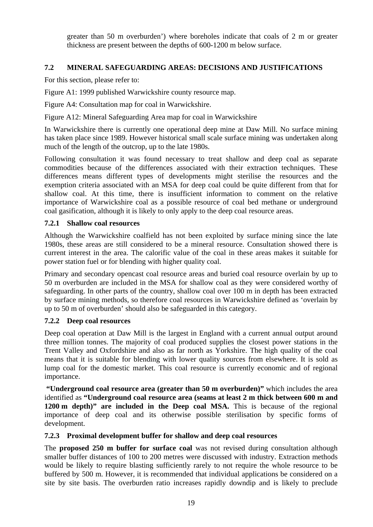greater than 50 m overburden') where boreholes indicate that coals of 2 m or greater thickness are present between the depths of 600-1200 m below surface.

### **7.2 MINERAL SAFEGUARDING AREAS: DECISIONS AND JUSTIFICATIONS**

For this section, please refer to:

Figure A1: 1999 published Warwickshire county resource map.

Figure A4: Consultation map for coal in Warwickshire.

Figure A12: Mineral Safeguarding Area map for coal in Warwickshire

In Warwickshire there is currently one operational deep mine at Daw Mill. No surface mining has taken place since 1989. However historical small scale surface mining was undertaken along much of the length of the outcrop, up to the late 1980s.

Following consultation it was found necessary to treat shallow and deep coal as separate commodities because of the differences associated with their extraction techniques. These differences means different types of developments might sterilise the resources and the exemption criteria associated with an MSA for deep coal could be quite different from that for shallow coal. At this time, there is insufficient information to comment on the relative importance of Warwickshire coal as a possible resource of coal bed methane or underground coal gasification, although it is likely to only apply to the deep coal resource areas.

### **7.2.1 Shallow coal resources**

Although the Warwickshire coalfield has not been exploited by surface mining since the late 1980s, these areas are still considered to be a mineral resource. Consultation showed there is current interest in the area. The calorific value of the coal in these areas makes it suitable for power station fuel or for blending with higher quality coal.

Primary and secondary opencast coal resource areas and buried coal resource overlain by up to 50 m overburden are included in the MSA for shallow coal as they were considered worthy of safeguarding. In other parts of the country, shallow coal over 100 m in depth has been extracted by surface mining methods, so therefore coal resources in Warwickshire defined as 'overlain by up to 50 m of overburden' should also be safeguarded in this category.

### **7.2.2 Deep coal resources**

Deep coal operation at Daw Mill is the largest in England with a current annual output around three million tonnes. The majority of coal produced supplies the closest power stations in the Trent Valley and Oxfordshire and also as far north as Yorkshire. The high quality of the coal means that it is suitable for blending with lower quality sources from elsewhere. It is sold as lump coal for the domestic market. This coal resource is currently economic and of regional importance.

 **"Underground coal resource area (greater than 50 m overburden)"** which includes the area identified as **"Underground coal resource area (seams at least 2 m thick between 600 m and 1200 m depth)" are included in the Deep coal MSA.** This is because of the regional importance of deep coal and its otherwise possible sterilisation by specific forms of development.

### **7.2.3 Proximal development buffer for shallow and deep coal resources**

The **proposed 250 m buffer for surface coal** was not revised during consultation although smaller buffer distances of 100 to 200 metres were discussed with industry. Extraction methods would be likely to require blasting sufficiently rarely to not require the whole resource to be buffered by 500 m. However, it is recommended that individual applications be considered on a site by site basis. The overburden ratio increases rapidly downdip and is likely to preclude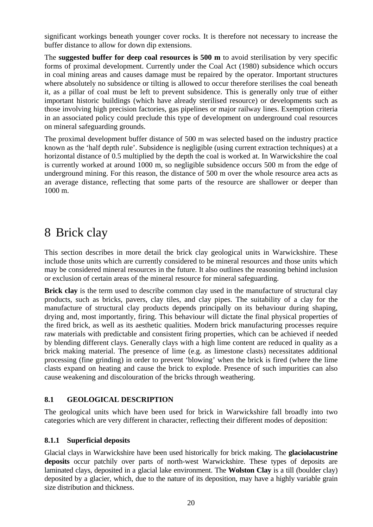significant workings beneath younger cover rocks. It is therefore not necessary to increase the buffer distance to allow for down dip extensions.

The **suggested buffer for deep coal resources is 500 m** to avoid sterilisation by very specific forms of proximal development. Currently under the Coal Act (1980) subsidence which occurs in coal mining areas and causes damage must be repaired by the operator. Important structures where absolutely no subsidence or tilting is allowed to occur therefore sterilises the coal beneath it, as a pillar of coal must be left to prevent subsidence. This is generally only true of either important historic buildings (which have already sterilised resource) or developments such as those involving high precision factories, gas pipelines or major railway lines. Exemption criteria in an associated policy could preclude this type of development on underground coal resources on mineral safeguarding grounds.

The proximal development buffer distance of 500 m was selected based on the industry practice known as the 'half depth rule'. Subsidence is negligible (using current extraction techniques) at a horizontal distance of 0.5 multiplied by the depth the coal is worked at. In Warwickshire the coal is currently worked at around 1000 m, so negligible subsidence occurs 500 m from the edge of underground mining. For this reason, the distance of 500 m over the whole resource area acts as an average distance, reflecting that some parts of the resource are shallower or deeper than 1000 m.

## 8 Brick clay

This section describes in more detail the brick clay geological units in Warwickshire. These include those units which are currently considered to be mineral resources and those units which may be considered mineral resources in the future. It also outlines the reasoning behind inclusion or exclusion of certain areas of the mineral resource for mineral safeguarding.

**Brick clay** is the term used to describe common clay used in the manufacture of structural clay products, such as bricks, pavers, clay tiles, and clay pipes. The suitability of a clay for the manufacture of structural clay products depends principally on its behaviour during shaping, drying and, most importantly, firing. This behaviour will dictate the final physical properties of the fired brick, as well as its aesthetic qualities. Modern brick manufacturing processes require raw materials with predictable and consistent firing properties, which can be achieved if needed by blending different clays. Generally clays with a high lime content are reduced in quality as a brick making material. The presence of lime (e.g. as limestone clasts) necessitates additional processing (fine grinding) in order to prevent 'blowing' when the brick is fired (where the lime clasts expand on heating and cause the brick to explode. Presence of such impurities can also cause weakening and discolouration of the bricks through weathering.

### **8.1 GEOLOGICAL DESCRIPTION**

The geological units which have been used for brick in Warwickshire fall broadly into two categories which are very different in character, reflecting their different modes of deposition:

### **8.1.1 Superficial deposits**

Glacial clays in Warwickshire have been used historically for brick making. The **glaciolacustrine deposits** occur patchily over parts of north-west Warwickshire. These types of deposits are laminated clays, deposited in a glacial lake environment. The **Wolston Clay** is a till (boulder clay) deposited by a glacier, which, due to the nature of its deposition, may have a highly variable grain size distribution and thickness.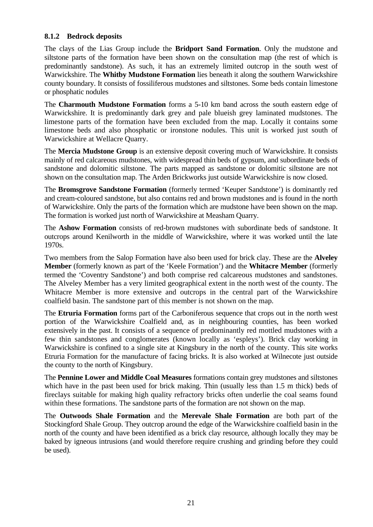### **8.1.2 Bedrock deposits**

The clays of the Lias Group include the **Bridport Sand Formation**. Only the mudstone and siltstone parts of the formation have been shown on the consultation map (the rest of which is predominantly sandstone). As such, it has an extremely limited outcrop in the south west of Warwickshire. The **Whitby Mudstone Formation** lies beneath it along the southern Warwickshire county boundary. It consists of fossiliferous mudstones and siltstones. Some beds contain limestone or phosphatic nodules

The **Charmouth Mudstone Formation** forms a 5-10 km band across the south eastern edge of Warwickshire. It is predominantly dark grey and pale blueish grey laminated mudstones. The limestone parts of the formation have been excluded from the map. Locally it contains some limestone beds and also phosphatic or ironstone nodules. This unit is worked just south of Warwickshire at Wellacre Quarry.

The **Mercia Mudstone Group** is an extensive deposit covering much of Warwickshire. It consists mainly of red calcareous mudstones, with widespread thin beds of gypsum, and subordinate beds of sandstone and dolomitic siltstone. The parts mapped as sandstone or dolomitic siltstone are not shown on the consultation map. The Arden Brickworks just outside Warwickshire is now closed.

The **Bromsgrove Sandstone Formation** (formerly termed 'Keuper Sandstone') is dominantly red and cream-coloured sandstone, but also contains red and brown mudstones and is found in the north of Warwickshire. Only the parts of the formation which are mudstone have been shown on the map. The formation is worked just north of Warwickshire at Measham Quarry.

The **Ashow Formation** consists of red-brown mudstones with subordinate beds of sandstone. It outcrops around Kenilworth in the middle of Warwickshire, where it was worked until the late 1970s.

Two members from the Salop Formation have also been used for brick clay. These are the **Alveley Member** (formerly known as part of the 'Keele Formation') and the **Whitacre Member** (formerly termed the 'Coventry Sandstone') and both comprise red calcareous mudstones and sandstones. The Alveley Member has a very limited geographical extent in the north west of the county. The Whitacre Member is more extensive and outcrops in the central part of the Warwickshire coalfield basin. The sandstone part of this member is not shown on the map.

The **Etruria Formation** forms part of the Carboniferous sequence that crops out in the north west portion of the Warwickshire Coalfield and, as in neighbouring counties, has been worked extensively in the past. It consists of a sequence of predominantly red mottled mudstones with a few thin sandstones and conglomerates (known locally as 'espleys'). Brick clay working in Warwickshire is confined to a single site at Kingsbury in the north of the county. This site works Etruria Formation for the manufacture of facing bricks. It is also worked at Wilnecote just outside the county to the north of Kingsbury.

The **Pennine Lower and Middle Coal Measures** formations contain grey mudstones and siltstones which have in the past been used for brick making. Thin (usually less than 1.5 m thick) beds of fireclays suitable for making high quality refractory bricks often underlie the coal seams found within these formations. The sandstone parts of the formation are not shown on the map.

The **Outwoods Shale Formation** and the **Merevale Shale Formation** are both part of the Stockingford Shale Group. They outcrop around the edge of the Warwickshire coalfield basin in the north of the county and have been identified as a brick clay resource, although locally they may be baked by igneous intrusions (and would therefore require crushing and grinding before they could be used).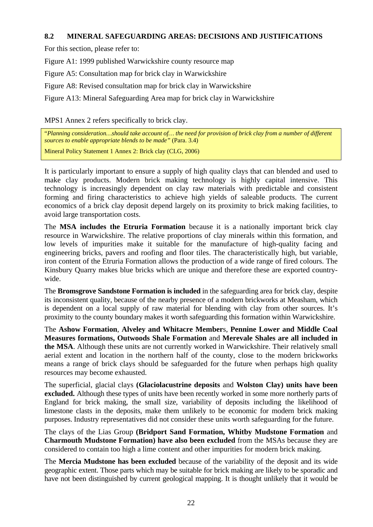### **8.2 MINERAL SAFEGUARDING AREAS: DECISIONS AND JUSTIFICATIONS**

For this section, please refer to:

Figure A1: 1999 published Warwickshire county resource map

Figure A5: Consultation map for brick clay in Warwickshire

Figure A8: Revised consultation map for brick clay in Warwickshire

Figure A13: Mineral Safeguarding Area map for brick clay in Warwickshire

MPS1 Annex 2 refers specifically to brick clay.

"*Planning consideration…should take account of… the need for provision of brick clay from a number of different sources to enable appropriate blends to be made"* (Para. 3.4)

Mineral Policy Statement 1 Annex 2: Brick clay (CLG, 2006)

It is particularly important to ensure a supply of high quality clays that can blended and used to make clay products. Modern brick making technology is highly capital intensive. This technology is increasingly dependent on clay raw materials with predictable and consistent forming and firing characteristics to achieve high yields of saleable products. The current economics of a brick clay deposit depend largely on its proximity to brick making facilities, to avoid large transportation costs.

The **MSA includes the Etruria Formation** because it is a nationally important brick clay resource in Warwickshire. The relative proportions of clay minerals within this formation, and low levels of impurities make it suitable for the manufacture of high-quality facing and engineering bricks, pavers and roofing and floor tiles. The characteristically high, but variable, iron content of the Etruria Formation allows the production of a wide range of fired colours. The Kinsbury Quarry makes blue bricks which are unique and therefore these are exported countrywide.

The **Bromsgrove Sandstone Formation is included** in the safeguarding area for brick clay, despite its inconsistent quality, because of the nearby presence of a modern brickworks at Measham, which is dependent on a local supply of raw material for blending with clay from other sources. It's proximity to the county boundary makes it worth safeguarding this formation within Warwickshire.

The **Ashow Formation**, **Alveley and Whitacre Member**s, **Pennine Lower and Middle Coal Measures formations, Outwoods Shale Formation** and **Merevale Shales are all included in the MSA**. Although these units are not currently worked in Warwickshire. Their relatively small aerial extent and location in the northern half of the county, close to the modern brickworks means a range of brick clays should be safeguarded for the future when perhaps high quality resources may become exhausted.

The superficial, glacial clays **(Glaciolacustrine deposits** and **Wolston Clay) units have been excluded.** Although these types of units have been recently worked in some more northerly parts of England for brick making, the small size, variability of deposits including the likelihood of limestone clasts in the deposits, make them unlikely to be economic for modern brick making purposes. Industry representatives did not consider these units worth safeguarding for the future.

The clays of the Lias Group **(Bridport Sand Formation, Whitby Mudstone Formation** and **Charmouth Mudstone Formation) have also been excluded** from the MSAs because they are considered to contain too high a lime content and other impurities for modern brick making.

The **Mercia Mudstone has been excluded** because of the variability of the deposit and its wide geographic extent. Those parts which may be suitable for brick making are likely to be sporadic and have not been distinguished by current geological mapping. It is thought unlikely that it would be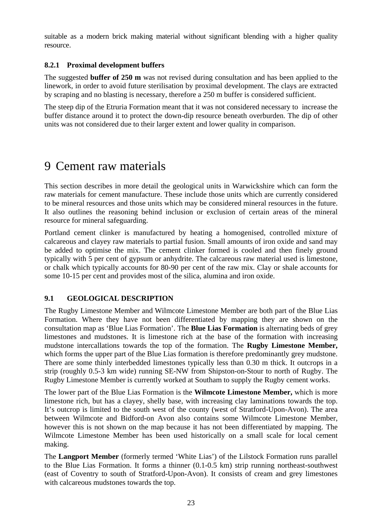suitable as a modern brick making material without significant blending with a higher quality resource.

### **8.2.1 Proximal development buffers**

The suggested **buffer of 250 m** was not revised during consultation and has been applied to the linework, in order to avoid future sterilisation by proximal development. The clays are extracted by scraping and no blasting is necessary, therefore a 250 m buffer is considered sufficient.

The steep dip of the Etruria Formation meant that it was not considered necessary to increase the buffer distance around it to protect the down-dip resource beneath overburden. The dip of other units was not considered due to their larger extent and lower quality in comparison.

## 9 Cement raw materials

This section describes in more detail the geological units in Warwickshire which can form the raw materials for cement manufacture. These include those units which are currently considered to be mineral resources and those units which may be considered mineral resources in the future. It also outlines the reasoning behind inclusion or exclusion of certain areas of the mineral resource for mineral safeguarding.

Portland cement clinker is manufactured by heating a homogenised, controlled mixture of calcareous and clayey raw materials to partial fusion. Small amounts of iron oxide and sand may be added to optimise the mix. The cement clinker formed is cooled and then finely ground typically with 5 per cent of gypsum or anhydrite. The calcareous raw material used is limestone, or chalk which typically accounts for 80-90 per cent of the raw mix. Clay or shale accounts for some 10-15 per cent and provides most of the silica, alumina and iron oxide.

### **9.1 GEOLOGICAL DESCRIPTION**

The Rugby Limestone Member and Wilmcote Limestone Member are both part of the Blue Lias Formation. Where they have not been differentiated by mapping they are shown on the consultation map as 'Blue Lias Formation'. The **Blue Lias Formation** is alternating beds of grey limestones and mudstones. It is limestone rich at the base of the formation with increasing mudstone intercallations towards the top of the formation. The **Rugby Limestone Member,**  which forms the upper part of the Blue Lias formation is therefore predominantly grey mudstone. There are some thinly interbedded limestones typically less than 0.30 m thick. It outcrops in a strip (roughly 0.5-3 km wide) running SE-NW from Shipston-on-Stour to north of Rugby. The Rugby Limestone Member is currently worked at Southam to supply the Rugby cement works.

The lower part of the Blue Lias Formation is the **Wilmcote Limestone Member,** which is more limestone rich, but has a clayey, shelly base, with increasing clay laminations towards the top. It's outcrop is limited to the south west of the county (west of Stratford-Upon-Avon). The area between Wilmcote and Bidford-on Avon also contains some Wilmcote Limestone Member, however this is not shown on the map because it has not been differentiated by mapping. The Wilmcote Limestone Member has been used historically on a small scale for local cement making.

The **Langport Member** (formerly termed 'White Lias') of the Lilstock Formation runs parallel to the Blue Lias Formation. It forms a thinner (0.1-0.5 km) strip running northeast-southwest (east of Coventry to south of Stratford-Upon-Avon). It consists of cream and grey limestones with calcareous mudstones towards the top.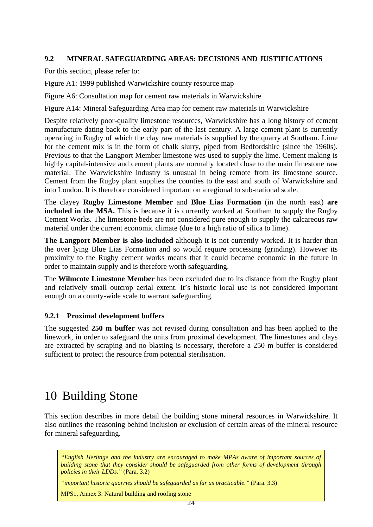### **9.2 MINERAL SAFEGUARDING AREAS: DECISIONS AND JUSTIFICATIONS**

For this section, please refer to:

Figure A1: 1999 published Warwickshire county resource map

Figure A6: Consultation map for cement raw materials in Warwickshire

Figure A14: Mineral Safeguarding Area map for cement raw materials in Warwickshire

Despite relatively poor-quality limestone resources, Warwickshire has a long history of cement manufacture dating back to the early part of the last century. A large cement plant is currently operating in Rugby of which the clay raw materials is supplied by the quarry at Southam. Lime for the cement mix is in the form of chalk slurry, piped from Bedfordshire (since the 1960s). Previous to that the Langport Member limestone was used to supply the lime. Cement making is highly capital-intensive and cement plants are normally located close to the main limestone raw material. The Warwickshire industry is unusual in being remote from its limestone source. Cement from the Rugby plant supplies the counties to the east and south of Warwickshire and into London. It is therefore considered important on a regional to sub-national scale.

The clayey **Rugby Limestone Member** and **Blue Lias Formation** (in the north east) **are included in the MSA.** This is because it is currently worked at Southam to supply the Rugby Cement Works. The limestone beds are not considered pure enough to supply the calcareous raw material under the current economic climate (due to a high ratio of silica to lime).

**The Langport Member is also included** although it is not currently worked. It is harder than the over lying Blue Lias Formation and so would require processing (grinding). However its proximity to the Rugby cement works means that it could become economic in the future in order to maintain supply and is therefore worth safeguarding.

The **Wilmcote Limestone Member** has been excluded due to its distance from the Rugby plant and relatively small outcrop aerial extent. It's historic local use is not considered important enough on a county-wide scale to warrant safeguarding.

#### **9.2.1 Proximal development buffers**

The suggested **250 m buffer** was not revised during consultation and has been applied to the linework, in order to safeguard the units from proximal development. The limestones and clays are extracted by scraping and no blasting is necessary, therefore a 250 m buffer is considered sufficient to protect the resource from potential sterilisation.

## 10 Building Stone

This section describes in more detail the building stone mineral resources in Warwickshire. It also outlines the reasoning behind inclusion or exclusion of certain areas of the mineral resource for mineral safeguarding.

*"English Heritage and the industry are encouraged to make MPAs aware of important sources of building stone that they consider should be safeguarded from other forms of development through policies in their LDDs."* (Para. 3.2)

*"important historic quarries should be safeguarded as far as practicable."* (Para. 3.3)

MPS1, Annex 3: Natural building and roofing stone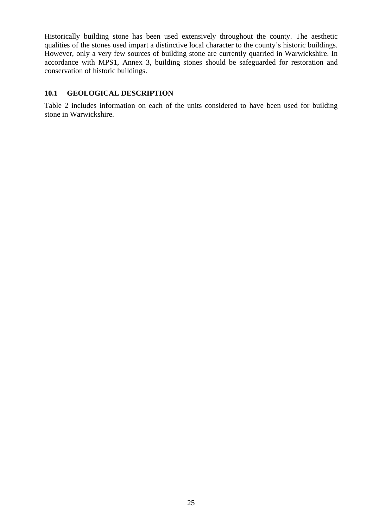Historically building stone has been used extensively throughout the county. The aesthetic qualities of the stones used impart a distinctive local character to the county's historic buildings. However, only a very few sources of building stone are currently quarried in Warwickshire. In accordance with MPS1, Annex 3, building stones should be safeguarded for restoration and conservation of historic buildings.

#### **10.1 GEOLOGICAL DESCRIPTION**

Table 2 includes information on each of the units considered to have been used for building stone in Warwickshire.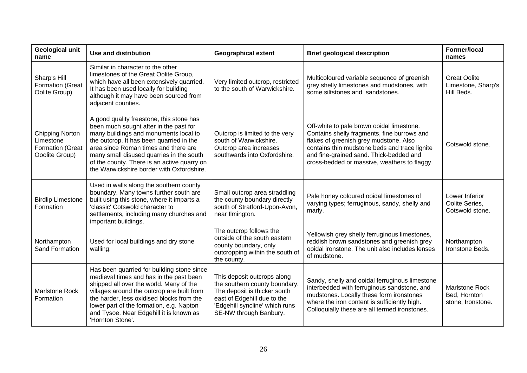| <b>Geological unit</b><br>name                                            | <b>Use and distribution</b>                                                                                                                                                                                                                                                                                                                             | <b>Geographical extent</b>                                                                                                                                                              | <b>Brief geological description</b>                                                                                                                                                                                                                                            | <b>Former/local</b><br>names                               |
|---------------------------------------------------------------------------|---------------------------------------------------------------------------------------------------------------------------------------------------------------------------------------------------------------------------------------------------------------------------------------------------------------------------------------------------------|-----------------------------------------------------------------------------------------------------------------------------------------------------------------------------------------|--------------------------------------------------------------------------------------------------------------------------------------------------------------------------------------------------------------------------------------------------------------------------------|------------------------------------------------------------|
| Sharp's Hill<br><b>Formation (Great</b><br>Oolite Group)                  | Similar in character to the other<br>limestones of the Great Oolite Group,<br>which have all been extensively quarried.<br>It has been used locally for building<br>although it may have been sourced from<br>adjacent counties.                                                                                                                        | Very limited outcrop, restricted<br>to the south of Warwickshire.                                                                                                                       | Multicoloured variable sequence of greenish<br>grey shelly limestones and mudstones, with<br>some siltstones and sandstones.                                                                                                                                                   | <b>Great Oolite</b><br>Limestone, Sharp's<br>Hill Beds.    |
| <b>Chipping Norton</b><br>Limestone<br>Formation (Great<br>Ooolite Group) | A good quality freestone, this stone has<br>been much sought after in the past for<br>many buildings and monuments local to<br>the outcrop. It has been quarried in the<br>area since Roman times and there are<br>many small disused quarries in the south<br>of the county. There is an active quarry on<br>the Warwickshire border with Oxfordshire. | Outcrop is limited to the very<br>south of Warwickshire.<br>Outcrop area increases<br>southwards into Oxfordshire.                                                                      | Off-white to pale brown ooidal limestone.<br>Contains shelly fragments, fine burrows and<br>flakes of greenish grey mudstone. Also<br>contains thin mudstone beds and trace lignite<br>and fine-grained sand. Thick-bedded and<br>cross-bedded or massive, weathers to flaggy. | Cotswold stone.                                            |
| <b>Birdlip Limestone</b><br>Formation                                     | Used in walls along the southern county<br>boundary. Many towns further south are<br>built using this stone, where it imparts a<br>'classic' Cotswold character to<br>settlements, including many churches and<br>important buildings.                                                                                                                  | Small outcrop area straddling<br>the county boundary directly<br>south of Stratford-Upon-Avon,<br>near Ilmington.                                                                       | Pale honey coloured ooidal limestones of<br>varying types; ferruginous, sandy, shelly and<br>marly.                                                                                                                                                                            | Lower Inferior<br>Oolite Series,<br>Cotswold stone.        |
| Northampton<br><b>Sand Formation</b>                                      | Used for local buildings and dry stone<br>walling.                                                                                                                                                                                                                                                                                                      | The outcrop follows the<br>outside of the south eastern<br>county boundary, only<br>outcropping within the south of<br>the county.                                                      | Yellowish grey shelly ferruginous limestones,<br>reddish brown sandstones and greenish grey<br>ooidal ironstone. The unit also includes lenses<br>of mudstone.                                                                                                                 | Northampton<br>Ironstone Beds.                             |
| <b>Marlstone Rock</b><br>Formation                                        | Has been quarried for building stone since<br>medieval times and has in the past been<br>shipped all over the world. Many of the<br>villages around the outcrop are built from<br>the harder, less oxidised blocks from the<br>lower part of the formation, e.g. Napton<br>and Tysoe. Near Edgehill it is known as<br>'Hornton Stone'.                  | This deposit outcrops along<br>the southern county boundary.<br>The deposit is thicker south<br>east of Edgehill due to the<br>'Edgehill syncline' which runs<br>SE-NW through Banbury. | Sandy, shelly and ooidal ferruginous limestone<br>interbedded with ferruginous sandstone, and<br>mudstones. Locally these form ironstones<br>where the iron content is sufficiently high.<br>Colloquially these are all termed ironstones.                                     | <b>Marlstone Rock</b><br>Bed, Hornton<br>stone, Ironstone. |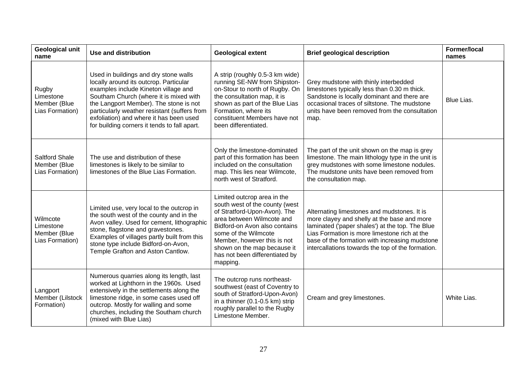| <b>Geological unit</b><br>name                           | <b>Use and distribution</b>                                                                                                                                                                                                                                                                                                                            | <b>Geological extent</b>                                                                                                                                                                                                                                                                        | <b>Brief geological description</b>                                                                                                                                                                                                                                                                  | <b>Former/local</b><br>names |
|----------------------------------------------------------|--------------------------------------------------------------------------------------------------------------------------------------------------------------------------------------------------------------------------------------------------------------------------------------------------------------------------------------------------------|-------------------------------------------------------------------------------------------------------------------------------------------------------------------------------------------------------------------------------------------------------------------------------------------------|------------------------------------------------------------------------------------------------------------------------------------------------------------------------------------------------------------------------------------------------------------------------------------------------------|------------------------------|
| Rugby<br>Limestone<br>Member (Blue<br>Lias Formation)    | Used in buildings and dry stone walls<br>locally around its outcrop. Particular<br>examples include Kineton village and<br>Southam Church (where it is mixed with<br>the Langport Member). The stone is not<br>particularly weather resistant (suffers from<br>exfoliation) and where it has been used<br>for building corners it tends to fall apart. | A strip (roughly 0.5-3 km wide)<br>running SE-NW from Shipston-<br>on-Stour to north of Rugby. On<br>the consultation map, it is<br>shown as part of the Blue Lias<br>Formation, where its<br>constituent Members have not<br>been differentiated.                                              | Grey mudstone with thinly interbedded<br>limestones typically less than 0.30 m thick.<br>Sandstone is locally dominant and there are<br>occasional traces of siltstone. The mudstone<br>units have been removed from the consultation<br>map.                                                        | Blue Lias.                   |
| <b>Saltford Shale</b><br>Member (Blue<br>Lias Formation) | The use and distribution of these<br>limestones is likely to be similar to<br>limestones of the Blue Lias Formation.                                                                                                                                                                                                                                   | Only the limestone-dominated<br>part of this formation has been<br>included on the consultation<br>map. This lies near Wilmcote,<br>north west of Stratford.                                                                                                                                    | The part of the unit shown on the map is grey<br>limestone. The main lithology type in the unit is<br>grey mudstones with some limestone nodules.<br>The mudstone units have been removed from<br>the consultation map.                                                                              |                              |
| Wilmcote<br>Limestone<br>Member (Blue<br>Lias Formation) | Limited use, very local to the outcrop in<br>the south west of the county and in the<br>Avon valley. Used for cement, lithographic<br>stone, flagstone and gravestones.<br>Examples of villages partly built from this<br>stone type include Bidford-on-Avon,<br>Temple Grafton and Aston Cantlow.                                                     | Limited outcrop area in the<br>south west of the county (west<br>of Stratford-Upon-Avon). The<br>area between Wilmcote and<br>Bidford-on Avon also contains<br>some of the Wilmcote<br>Member, however this is not<br>shown on the map because it<br>has not been differentiated by<br>mapping. | Alternating limestones and mudstones. It is<br>more clayey and shelly at the base and more<br>laminated ('paper shales') at the top. The Blue<br>Lias Formation is more limestone rich at the<br>base of the formation with increasing mudstone<br>intercallations towards the top of the formation. |                              |
| Langport<br>Member (Lilstock<br>Formation)               | Numerous quarries along its length, last<br>worked at Lighthorn in the 1960s. Used<br>extensively in the settlements along the<br>limestone ridge, in some cases used off<br>outcrop. Mostly for walling and some<br>churches, including the Southam church<br>(mixed with Blue Lias)                                                                  | The outcrop runs northeast-<br>southwest (east of Coventry to<br>south of Stratford-Upon-Avon)<br>in a thinner (0.1-0.5 km) strip<br>roughly parallel to the Rugby<br>Limestone Member.                                                                                                         | Cream and grey limestones.                                                                                                                                                                                                                                                                           | White Lias.                  |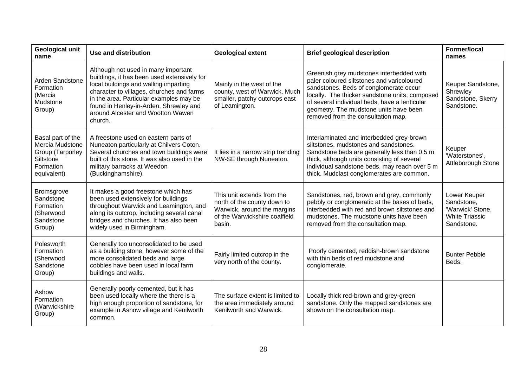| <b>Geological unit</b><br>name                                                                    | <b>Use and distribution</b>                                                                                                                                                                                                                                                                                   | <b>Geological extent</b>                                                                                                            | <b>Brief geological description</b>                                                                                                                                                                                                                                                                                 | Former/local<br>names                                                                 |
|---------------------------------------------------------------------------------------------------|---------------------------------------------------------------------------------------------------------------------------------------------------------------------------------------------------------------------------------------------------------------------------------------------------------------|-------------------------------------------------------------------------------------------------------------------------------------|---------------------------------------------------------------------------------------------------------------------------------------------------------------------------------------------------------------------------------------------------------------------------------------------------------------------|---------------------------------------------------------------------------------------|
| Arden Sandstone<br>Formation<br>(Mercia<br>Mudstone<br>Group)                                     | Although not used in many important<br>buildings, it has been used extensively for<br>local buildings and walling imparting<br>character to villages, churches and farms<br>in the area. Particular examples may be<br>found in Henley-in-Arden, Shrewley and<br>around Alcester and Wootton Wawen<br>church. | Mainly in the west of the<br>county, west of Warwick. Much<br>smaller, patchy outcrops east<br>of Leamington.                       | Greenish grey mudstones interbedded with<br>paler coloured siltstones and varicoloured<br>sandstones. Beds of conglomerate occur<br>locally. The thicker sandstone units, composed<br>of several individual beds, have a lenticular<br>geometry. The mudstone units have been<br>removed from the consultation map. | Keuper Sandstone,<br>Shrewley<br>Sandstone, Skerry<br>Sandstone.                      |
| Basal part of the<br>Mercia Mudstone<br>Group (Tarporley<br>Siltstone<br>Formation<br>equivalent) | A freestone used on eastern parts of<br>Nuneaton particularly at Chilvers Coton.<br>Several churches and town buildings were<br>built of this stone. It was also used in the<br>military barracks at Weedon<br>(Buckinghamshire).                                                                             | It lies in a narrow strip trending<br>NW-SE through Nuneaton.                                                                       | Interlaminated and interbedded grey-brown<br>siltstones, mudstones and sandstones.<br>Sandstone beds are generally less than 0.5 m<br>thick, although units consisting of several<br>individual sandstone beds, may reach over 5 m<br>thick. Mudclast conglomerates are common.                                     | Keuper<br>'Waterstones',<br>Attleborough Stone                                        |
| <b>Bromsgrove</b><br>Sandstone<br>Formation<br>(Sherwood<br>Sandstone<br>Group)                   | It makes a good freestone which has<br>been used extensively for buildings<br>throughout Warwick and Leamington, and<br>along its outcrop, including several canal<br>bridges and churches. It has also been<br>widely used in Birmingham.                                                                    | This unit extends from the<br>north of the county down to<br>Warwick, around the margins<br>of the Warwickshire coalfield<br>basin. | Sandstones, red, brown and grey, commonly<br>pebbly or conglomeratic at the bases of beds,<br>interbedded with red and brown siltstones and<br>mudstones. The mudstone units have been<br>removed from the consultation map.                                                                                        | Lower Keuper<br>Sandstone,<br>'Warwick' Stone,<br><b>White Triassic</b><br>Sandstone. |
| Polesworth<br>Formation<br>(Sherwood<br>Sandstone<br>Group)                                       | Generally too unconsolidated to be used<br>as a building stone, however some of the<br>more consolidated beds and large<br>cobbles have been used in local farm<br>buildings and walls.                                                                                                                       | Fairly limited outcrop in the<br>very north of the county.                                                                          | Poorly cemented, reddish-brown sandstone<br>with thin beds of red mudstone and<br>conglomerate.                                                                                                                                                                                                                     | <b>Bunter Pebble</b><br>Beds.                                                         |
| Ashow<br>Formation<br>(Warwickshire<br>Group)                                                     | Generally poorly cemented, but it has<br>been used locally where the there is a<br>high enough proportion of sandstone, for<br>example in Ashow village and Kenilworth<br>common.                                                                                                                             | The surface extent is limited to<br>the area immediately around<br>Kenilworth and Warwick.                                          | Locally thick red-brown and grey-green<br>sandstone. Only the mapped sandstones are<br>shown on the consultation map.                                                                                                                                                                                               |                                                                                       |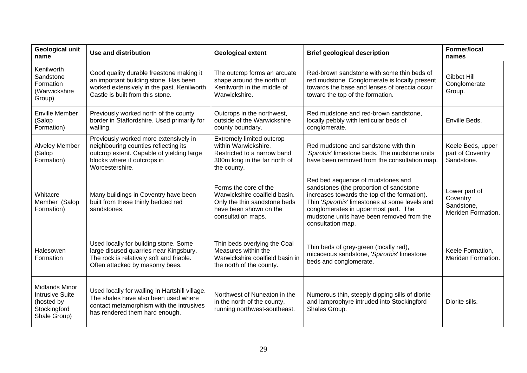| <b>Geological unit</b><br>name                                                                | <b>Use and distribution</b>                                                                                                                                                  | <b>Geological extent</b>                                                                                                               | <b>Brief geological description</b>                                                                                                                                                                                                                                                      | Former/local<br>names                                         |
|-----------------------------------------------------------------------------------------------|------------------------------------------------------------------------------------------------------------------------------------------------------------------------------|----------------------------------------------------------------------------------------------------------------------------------------|------------------------------------------------------------------------------------------------------------------------------------------------------------------------------------------------------------------------------------------------------------------------------------------|---------------------------------------------------------------|
| Kenilworth<br>Sandstone<br>Formation<br>(Warwickshire<br>Group)                               | Good quality durable freestone making it<br>an important building stone. Has been<br>worked extensively in the past. Kenilworth<br>Castle is built from this stone.          | The outcrop forms an arcuate<br>shape around the north of<br>Kenilworth in the middle of<br>Warwickshire.                              | Red-brown sandstone with some thin beds of<br>red mudstone. Conglomerate is locally present<br>towards the base and lenses of breccia occur<br>toward the top of the formation.                                                                                                          | <b>Gibbet Hill</b><br>Conglomerate<br>Group.                  |
| <b>Enville Member</b><br>(Salop<br>Formation)                                                 | Previously worked north of the county<br>border in Staffordshire. Used primarily for<br>walling.                                                                             | Outcrops in the northwest,<br>outside of the Warwickshire<br>county boundary.                                                          | Red mudstone and red-brown sandstone,<br>locally pebbly with lenticular beds of<br>conglomerate.                                                                                                                                                                                         | Enville Beds.                                                 |
| <b>Alveley Member</b><br>(Salop<br>Formation)                                                 | Previously worked more extensively in<br>neighbouring counties reflecting its<br>outcrop extent. Capable of yielding large<br>blocks where it outcrops in<br>Worcestershire. | Extremely limited outcrop<br>within Warwickshire.<br>Restricted to a narrow band<br>300m long in the far north of<br>the county.       | Red mudstone and sandstone with thin<br>'Spirobis' limestone beds. The mudstone units<br>have been removed from the consultation map.                                                                                                                                                    | Keele Beds, upper<br>part of Coventry<br>Sandstone.           |
| Whitacre<br>Member (Salop<br>Formation)                                                       | Many buildings in Coventry have been<br>built from these thinly bedded red<br>sandstones.                                                                                    | Forms the core of the<br>Warwickshire coalfield basin.<br>Only the thin sandstone beds<br>have been shown on the<br>consultation maps. | Red bed sequence of mudstones and<br>sandstones (the proportion of sandstone<br>increases towards the top of the formation).<br>Thin 'Spirorbis' limestones at some levels and<br>conglomerates in uppermost part. The<br>mudstone units have been removed from the<br>consultation map. | Lower part of<br>Coventry<br>Sandstone,<br>Meriden Formation. |
| Halesowen<br>Formation                                                                        | Used locally for building stone. Some<br>large disused quarries near Kingsbury.<br>The rock is relatively soft and friable.<br>Often attacked by masonry bees.               | Thin beds overlying the Coal<br>Measures within the<br>Warwickshire coalfield basin in<br>the north of the county.                     | Thin beds of grey-green (locally red),<br>micaceous sandstone, 'Spirorbis' limestone<br>beds and conglomerate.                                                                                                                                                                           | Keele Formation,<br>Meriden Formation.                        |
| <b>Midlands Minor</b><br><b>Intrusive Suite</b><br>(hosted by<br>Stockingford<br>Shale Group) | Used locally for walling in Hartshill village.<br>The shales have also been used where<br>contact metamorphism with the intrusives<br>has rendered them hard enough.         | Northwest of Nuneaton in the<br>in the north of the county,<br>running northwest-southeast.                                            | Numerous thin, steeply dipping sills of diorite<br>and lamprophyre intruded into Stockingford<br>Shales Group.                                                                                                                                                                           | Diorite sills.                                                |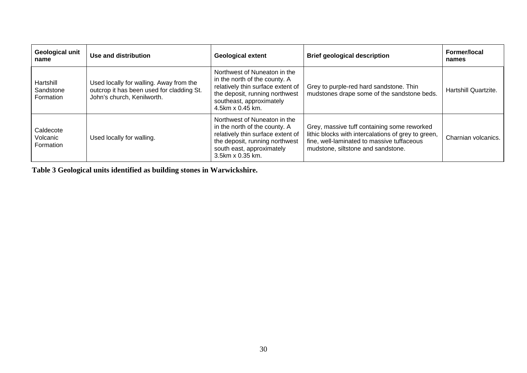| Geological unit<br>name             | Use and distribution                                                                                               | <b>Geological extent</b>                                                                                                                                                              | <b>Brief geological description</b>                                                                                                                                                    | Former/local<br>names |
|-------------------------------------|--------------------------------------------------------------------------------------------------------------------|---------------------------------------------------------------------------------------------------------------------------------------------------------------------------------------|----------------------------------------------------------------------------------------------------------------------------------------------------------------------------------------|-----------------------|
| Hartshill<br>Sandstone<br>Formation | Used locally for walling. Away from the<br>outcrop it has been used for cladding St.<br>John's church, Kenilworth. | Northwest of Nuneaton in the<br>in the north of the county. A<br>relatively thin surface extent of<br>the deposit, running northwest<br>southeast, approximately<br>4.5km x 0.45 km.  | Grey to purple-red hard sandstone. Thin<br>mudstones drape some of the sandstone beds.                                                                                                 | Hartshill Quartzite.  |
| Caldecote<br>Volcanic<br>Formation  | Used locally for walling.                                                                                          | Northwest of Nuneaton in the<br>in the north of the county. A<br>relatively thin surface extent of<br>the deposit, running northwest<br>south east, approximately<br>3.5km x 0.35 km. | Grey, massive tuff containing some reworked<br>lithic blocks with intercalations of grey to green,<br>fine, well-laminated to massive tuffaceous<br>mudstone, siltstone and sandstone. | Charnian volcanics.   |

**Table 3 Geological units identified as building stones in Warwickshire.**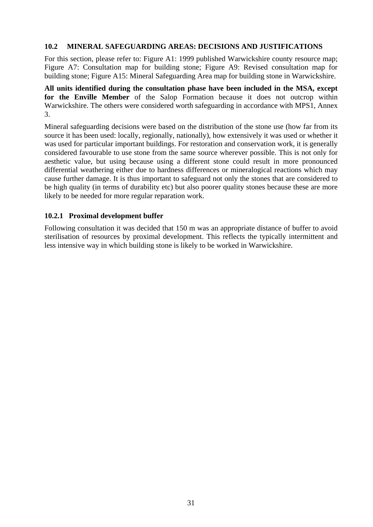#### **10.2 MINERAL SAFEGUARDING AREAS: DECISIONS AND JUSTIFICATIONS**

For this section, please refer to: Figure A1: 1999 published Warwickshire county resource map; Figure A7: Consultation map for building stone; Figure A9: Revised consultation map for building stone; Figure A15: Mineral Safeguarding Area map for building stone in Warwickshire.

**All units identified during the consultation phase have been included in the MSA, except for the Enville Member** of the Salop Formation because it does not outcrop within Warwickshire. The others were considered worth safeguarding in accordance with MPS1, Annex 3.

Mineral safeguarding decisions were based on the distribution of the stone use (how far from its source it has been used: locally, regionally, nationally), how extensively it was used or whether it was used for particular important buildings. For restoration and conservation work, it is generally considered favourable to use stone from the same source wherever possible. This is not only for aesthetic value, but using because using a different stone could result in more pronounced differential weathering either due to hardness differences or mineralogical reactions which may cause further damage. It is thus important to safeguard not only the stones that are considered to be high quality (in terms of durability etc) but also poorer quality stones because these are more likely to be needed for more regular reparation work.

#### **10.2.1 Proximal development buffer**

Following consultation it was decided that 150 m was an appropriate distance of buffer to avoid sterilisation of resources by proximal development. This reflects the typically intermittent and less intensive way in which building stone is likely to be worked in Warwickshire.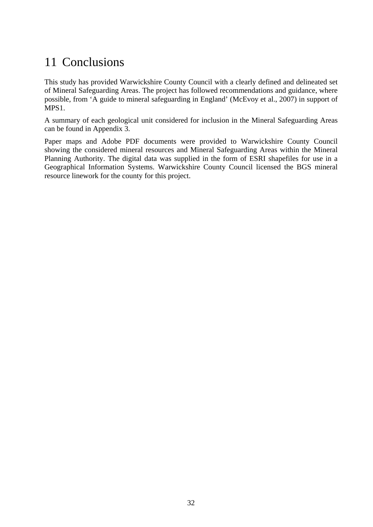## 11 Conclusions

This study has provided Warwickshire County Council with a clearly defined and delineated set of Mineral Safeguarding Areas. The project has followed recommendations and guidance, where possible, from 'A guide to mineral safeguarding in England' (McEvoy et al., 2007) in support of MPS1.

A summary of each geological unit considered for inclusion in the Mineral Safeguarding Areas can be found in Appendix 3.

Paper maps and Adobe PDF documents were provided to Warwickshire County Council showing the considered mineral resources and Mineral Safeguarding Areas within the Mineral Planning Authority. The digital data was supplied in the form of ESRI shapefiles for use in a Geographical Information Systems. Warwickshire County Council licensed the BGS mineral resource linework for the county for this project.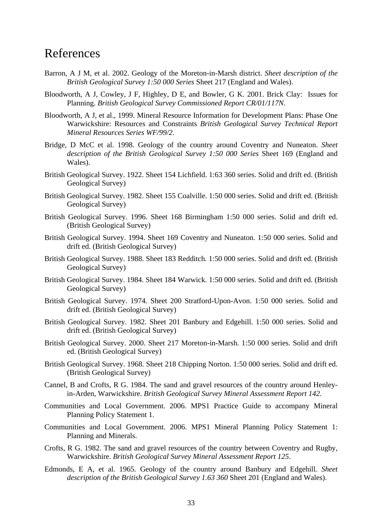### References

- Barron, A J M, et al. 2002. Geology of the Moreton-in-Marsh district. *Sheet description of the British Geological Survey 1:50 000 Series* Sheet 217 (England and Wales).
- Bloodworth, A J, Cowley, J F, Highley, D E, and Bowler, G K. 2001. Brick Clay: Issues for Planning. *British Geological Survey Commissioned Report CR/01/117N*.
- Bloodworth, A J, et al., 1999. Mineral Resource Information for Development Plans: Phase One Warwickshire: Resources and Constraints *British Geological Survey Technical Report Mineral Resources Series WF/99/2*.
- Bridge, D McC et al. 1998. Geology of the country around Coventry and Nuneaton. *Sheet description of the British Geological Survey 1:50 000 Series* Sheet 169 (England and Wales).
- British Geological Survey. 1922. Sheet 154 Lichfield. 1:63 360 series. Solid and drift ed. (British Geological Survey)
- British Geological Survey. 1982. Sheet 155 Coalville. 1:50 000 series. Solid and drift ed. (British Geological Survey)
- British Geological Survey. 1996. Sheet 168 Birmingham 1:50 000 series. Solid and drift ed. (British Geological Survey)
- British Geological Survey. 1994. Sheet 169 Coventry and Nuneaton. 1:50 000 series. Solid and drift ed. (British Geological Survey)
- British Geological Survey. 1988. Sheet 183 Redditch. 1:50 000 series. Solid and drift ed. (British Geological Survey)
- British Geological Survey. 1984. Sheet 184 Warwick. 1:50 000 series. Solid and drift ed. (British Geological Survey)
- British Geological Survey. 1974. Sheet 200 Stratford-Upon-Avon. 1:50 000 series. Solid and drift ed. (British Geological Survey)
- British Geological Survey. 1982. Sheet 201 Banbury and Edgehill. 1:50 000 series. Solid and drift ed. (British Geological Survey)
- British Geological Survey. 2000. Sheet 217 Moreton-in-Marsh. 1:50 000 series. Solid and drift ed. (British Geological Survey)
- British Geological Survey. 1968. Sheet 218 Chipping Norton. 1:50 000 series. Solid and drift ed. (British Geological Survey)
- Cannel, B and Crofts, R G. 1984. The sand and gravel resources of the country around Henleyin-Arden, Warwickshire. *British Geological Survey Mineral Assessment Report 142*.
- Communities and Local Government. 2006. MPS1 Practice Guide to accompany Mineral Planning Policy Statement 1.
- Communities and Local Government. 2006. MPS1 Mineral Planning Policy Statement 1: Planning and Minerals.
- Crofts, R G. 1982. The sand and gravel resources of the country between Coventry and Rugby, Warwickshire. *British Geological Survey Mineral Assessment Report 125*.
- Edmonds, E A, et al. 1965. Geology of the country around Banbury and Edgehill*. Sheet description of the British Geological Survey 1.63 360* Sheet 201 (England and Wales).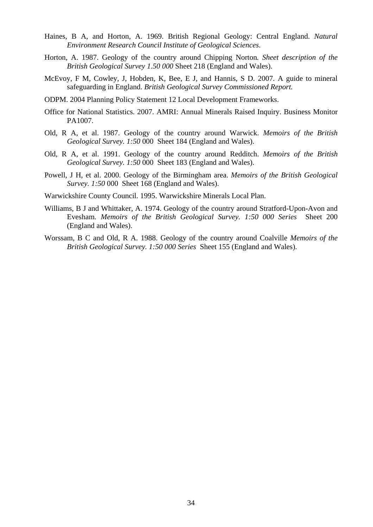- Haines, B A, and Horton, A. 1969. British Regional Geology: Central England. *Natural Environment Research Council Institute of Geological Sciences*.
- Horton, A. 1987. Geology of the country around Chipping Norton*. Sheet description of the British Geological Survey 1.50 000* Sheet 218 (England and Wales).
- McEvoy, F M, Cowley, J, Hobden, K, Bee, E J, and Hannis, S D. 2007. A guide to mineral safeguarding in England. *British Geological Survey Commissioned Report.*
- ODPM. 2004 Planning Policy Statement 12 Local Development Frameworks.
- Office for National Statistics. 2007. AMRI: Annual Minerals Raised Inquiry. Business Monitor PA1007.
- Old, R A, et al. 1987. Geology of the country around Warwick. *Memoirs of the British Geological Survey. 1:50* 000 Sheet 184 (England and Wales).
- Old, R A, et al. 1991. Geology of the country around Redditch. *Memoirs of the British Geological Survey. 1:50* 000 Sheet 183 (England and Wales).
- Powell, J H, et al. 2000. Geology of the Birmingham area. *Memoirs of the British Geological Survey. 1:50* 000 Sheet 168 (England and Wales).
- Warwickshire County Council. 1995. Warwickshire Minerals Local Plan.
- Williams, B J and Whittaker, A. 1974. Geology of the country around Stratford-Upon-Avon and Evesham. *Memoirs of the British Geological Survey. 1:50 000 Series* Sheet 200 (England and Wales).
- Worssam, B C and Old, R A. 1988. Geology of the country around Coalville *Memoirs of the British Geological Survey. 1:50 000 Series* Sheet 155 (England and Wales).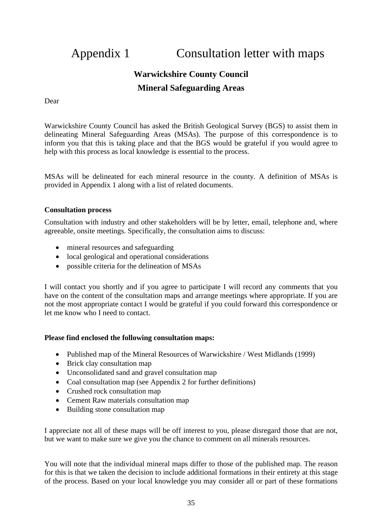## Appendix 1 Consultation letter with maps

### **Warwickshire County Council Mineral Safeguarding Areas**

Dear

Warwickshire County Council has asked the British Geological Survey (BGS) to assist them in delineating Mineral Safeguarding Areas (MSAs). The purpose of this correspondence is to inform you that this is taking place and that the BGS would be grateful if you would agree to help with this process as local knowledge is essential to the process.

MSAs will be delineated for each mineral resource in the county. A definition of MSAs is provided in Appendix 1 along with a list of related documents.

#### **Consultation process**

Consultation with industry and other stakeholders will be by letter, email, telephone and, where agreeable, onsite meetings. Specifically, the consultation aims to discuss:

- mineral resources and safeguarding
- local geological and operational considerations
- possible criteria for the delineation of MSAs

I will contact you shortly and if you agree to participate I will record any comments that you have on the content of the consultation maps and arrange meetings where appropriate. If you are not the most appropriate contact I would be grateful if you could forward this correspondence or let me know who I need to contact.

#### **Please find enclosed the following consultation maps:**

- Published map of the Mineral Resources of Warwickshire / West Midlands (1999)
- Brick clay consultation map
- Unconsolidated sand and gravel consultation map
- Coal consultation map (see Appendix 2 for further definitions)
- Crushed rock consultation map
- Cement Raw materials consultation map
- Building stone consultation map

I appreciate not all of these maps will be off interest to you, please disregard those that are not, but we want to make sure we give you the chance to comment on all minerals resources.

You will note that the individual mineral maps differ to those of the published map. The reason for this is that we taken the decision to include additional formations in their entirety at this stage of the process. Based on your local knowledge you may consider all or part of these formations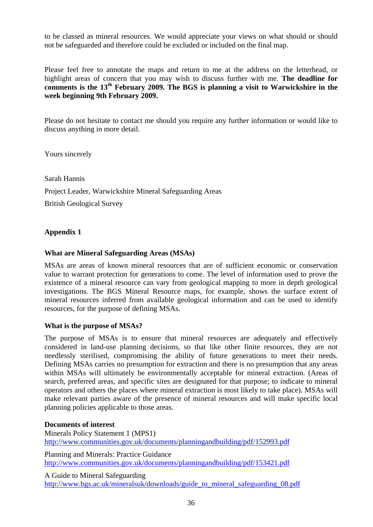to be classed as mineral resources. We would appreciate your views on what should or should not be safeguarded and therefore could be excluded or included on the final map.

Please feel free to annotate the maps and return to me at the address on the letterhead, or highlight areas of concern that you may wish to discuss further with me. **The deadline for**  comments is the 13<sup>th</sup> February 2009. The BGS is planning a visit to Warwickshire in the **week beginning 9th February 2009.** 

Please do not hesitate to contact me should you require any further information or would like to discuss anything in more detail.

Yours sincerely

#### Sarah Hannis

Project Leader, Warwickshire Mineral Safeguarding Areas

British Geological Survey

### **Appendix 1**

### **What are Mineral Safeguarding Areas (MSAs)**

MSAs are areas of known mineral resources that are of sufficient economic or conservation value to warrant protection for generations to come. The level of information used to prove the existence of a mineral resource can vary from geological mapping to more in depth geological investigations. The BGS Mineral Resource maps, for example, shows the surface extent of mineral resources inferred from available geological information and can be used to identify resources, for the purpose of defining MSAs.

#### **What is the purpose of MSAs?**

The purpose of MSAs is to ensure that mineral resources are adequately and effectively considered in land-use planning decisions, so that like other finite resources, they are not needlessly sterilised, compromising the ability of future generations to meet their needs. Defining MSAs carries no presumption for extraction and there is no presumption that any areas within MSAs will ultimately be environmentally acceptable for mineral extraction. (Areas of search, preferred areas, and specific sites are designated for that purpose; to indicate to mineral operators and others the places where mineral extraction is most likely to take place). MSAs will make relevant parties aware of the presence of mineral resources and will make specific local planning policies applicable to those areas.

#### **Documents of interest**

Minerals Policy Statement 1 (MPS1) http://www.communities.gov.uk/documents/planningandbuilding/pdf/152993.pdf Planning and Minerals: Practice Guidance

http://www.communities.gov.uk/documents/planningandbuilding/pdf/153421.pdf

A Guide to Mineral Safeguarding http://www.bgs.ac.uk/mineralsuk/downloads/guide\_to\_mineral\_safeguarding\_08.pdf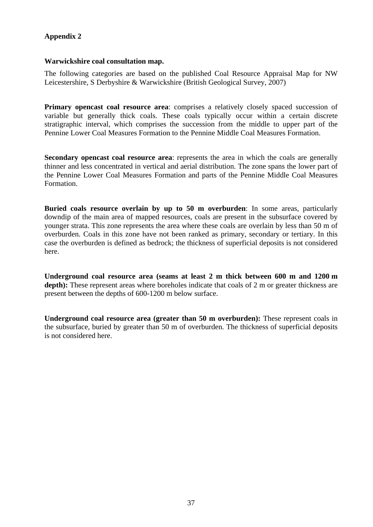### **Appendix 2**

#### **Warwickshire coal consultation map.**

The following categories are based on the published Coal Resource Appraisal Map for NW Leicestershire, S Derbyshire & Warwickshire (British Geological Survey, 2007)

**Primary opencast coal resource area:** comprises a relatively closely spaced succession of variable but generally thick coals. These coals typically occur within a certain discrete stratigraphic interval, which comprises the succession from the middle to upper part of the Pennine Lower Coal Measures Formation to the Pennine Middle Coal Measures Formation.

**Secondary opencast coal resource area:** represents the area in which the coals are generally thinner and less concentrated in vertical and aerial distribution. The zone spans the lower part of the Pennine Lower Coal Measures Formation and parts of the Pennine Middle Coal Measures Formation.

**Buried coals resource overlain by up to 50 m overburden**: In some areas, particularly downdip of the main area of mapped resources, coals are present in the subsurface covered by younger strata. This zone represents the area where these coals are overlain by less than 50 m of overburden. Coals in this zone have not been ranked as primary, secondary or tertiary. In this case the overburden is defined as bedrock; the thickness of superficial deposits is not considered here.

**Underground coal resource area (seams at least 2 m thick between 600 m and 1200 m**  depth): These represent areas where boreholes indicate that coals of 2 m or greater thickness are present between the depths of 600-1200 m below surface.

**Underground coal resource area (greater than 50 m overburden):** These represent coals in the subsurface, buried by greater than 50 m of overburden. The thickness of superficial deposits is not considered here.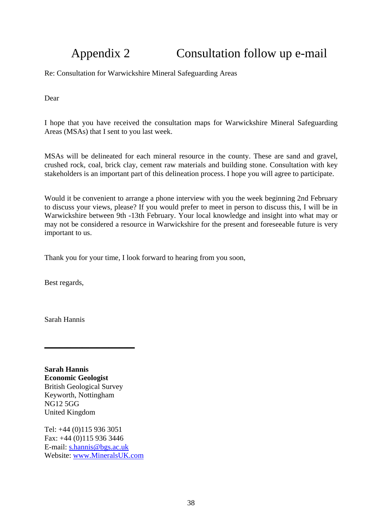## Appendix 2 Consultation follow up e-mail

Re: Consultation for Warwickshire Mineral Safeguarding Areas

Dear

I hope that you have received the consultation maps for Warwickshire Mineral Safeguarding Areas (MSAs) that I sent to you last week.

MSAs will be delineated for each mineral resource in the county. These are sand and gravel, crushed rock, coal, brick clay, cement raw materials and building stone. Consultation with key stakeholders is an important part of this delineation process. I hope you will agree to participate.

Would it be convenient to arrange a phone interview with you the week beginning 2nd February to discuss your views, please? If you would prefer to meet in person to discuss this, I will be in Warwickshire between 9th -13th February. Your local knowledge and insight into what may or may not be considered a resource in Warwickshire for the present and foreseeable future is very important to us.

Thank you for your time, I look forward to hearing from you soon,

Best regards,

Sarah Hannis

**Sarah Hannis Economic Geologist** British Geological Survey Keyworth, Nottingham NG12 5GG United Kingdom

**\_\_\_\_\_\_\_\_\_\_\_\_\_\_\_\_\_\_\_\_\_\_\_\_**

Tel: +44 (0)115 936 3051 Fax: +44 (0)115 936 3446 E-mail: s.hannis@bgs.ac.uk Website: www.MineralsUK.com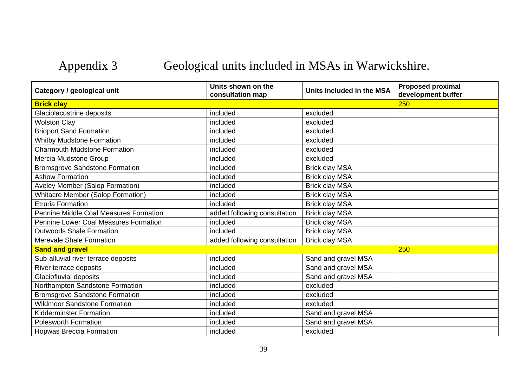## Appendix 3 Geological units included in MSAs in Warwickshire.

| Category / geological unit               | Units shown on the<br>consultation map | Units included in the MSA | <b>Proposed proximal</b><br>development buffer |
|------------------------------------------|----------------------------------------|---------------------------|------------------------------------------------|
| <b>Brick clay</b>                        |                                        |                           | 250                                            |
| Glaciolacustrine deposits                | included                               | excluded                  |                                                |
| <b>Wolston Clay</b>                      | included                               | excluded                  |                                                |
| <b>Bridport Sand Formation</b>           | included                               | excluded                  |                                                |
| <b>Whitby Mudstone Formation</b>         | included                               | excluded                  |                                                |
| <b>Charmouth Mudstone Formation</b>      | included                               | excluded                  |                                                |
| Mercia Mudstone Group                    | included                               | excluded                  |                                                |
| <b>Bromsgrove Sandstone Formation</b>    | included                               | <b>Brick clay MSA</b>     |                                                |
| <b>Ashow Formation</b>                   | included                               | <b>Brick clay MSA</b>     |                                                |
| Aveley Member (Salop Formation)          | included                               | <b>Brick clay MSA</b>     |                                                |
| <b>Whitacre Member (Salop Formation)</b> | included                               | <b>Brick clay MSA</b>     |                                                |
| <b>Etruria Formation</b>                 | included                               | <b>Brick clay MSA</b>     |                                                |
| Pennine Middle Coal Measures Formation   | added following consultation           | <b>Brick clay MSA</b>     |                                                |
| Pennine Lower Coal Measures Formation    | included                               | <b>Brick clay MSA</b>     |                                                |
| <b>Outwoods Shale Formation</b>          | included                               | <b>Brick clay MSA</b>     |                                                |
| <b>Merevale Shale Formation</b>          | added following consultation           | <b>Brick clay MSA</b>     |                                                |
| <b>Sand and gravel</b>                   |                                        |                           | 250                                            |
| Sub-alluvial river terrace deposits      | included                               | Sand and gravel MSA       |                                                |
| River terrace deposits                   | included                               | Sand and gravel MSA       |                                                |
| Glaciofluvial deposits                   | included                               | Sand and gravel MSA       |                                                |
| Northampton Sandstone Formation          | included                               | excluded                  |                                                |
| <b>Bromsgrove Sandstone Formation</b>    | included                               | excluded                  |                                                |
| <b>Wildmoor Sandstone Formation</b>      | included                               | excluded                  |                                                |
| <b>Kidderminster Formation</b>           | included                               | Sand and gravel MSA       |                                                |
| <b>Polesworth Formation</b>              | included                               | Sand and gravel MSA       |                                                |
| <b>Hopwas Breccia Formation</b>          | included                               | excluded                  |                                                |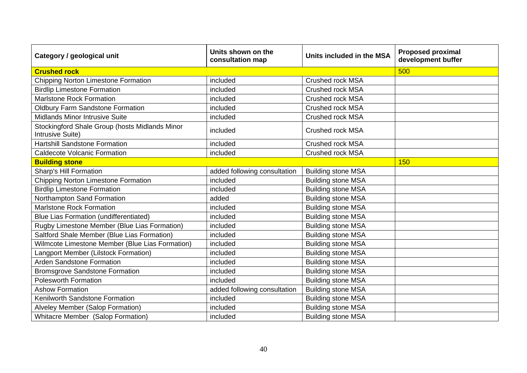| Category / geological unit                                         | Units shown on the<br>consultation map | Units included in the MSA | <b>Proposed proximal</b><br>development buffer |
|--------------------------------------------------------------------|----------------------------------------|---------------------------|------------------------------------------------|
| <b>Crushed rock</b>                                                | 500                                    |                           |                                                |
| <b>Chipping Norton Limestone Formation</b>                         | included                               | <b>Crushed rock MSA</b>   |                                                |
| <b>Birdlip Limestone Formation</b>                                 | included                               | <b>Crushed rock MSA</b>   |                                                |
| <b>Marlstone Rock Formation</b>                                    | included                               | <b>Crushed rock MSA</b>   |                                                |
| <b>Oldbury Farm Sandstone Formation</b>                            | included                               | <b>Crushed rock MSA</b>   |                                                |
| Midlands Minor Intrusive Suite                                     | included                               | <b>Crushed rock MSA</b>   |                                                |
| Stockingford Shale Group (hosts Midlands Minor<br>Intrusive Suite) | included                               | <b>Crushed rock MSA</b>   |                                                |
| <b>Hartshill Sandstone Formation</b>                               | included                               | <b>Crushed rock MSA</b>   |                                                |
| <b>Caldecote Volcanic Formation</b>                                | included                               | <b>Crushed rock MSA</b>   |                                                |
| <b>Building stone</b>                                              |                                        |                           | 150                                            |
| <b>Sharp's Hill Formation</b>                                      | added following consultation           | <b>Building stone MSA</b> |                                                |
| Chipping Norton Limestone Formation                                | included                               | <b>Building stone MSA</b> |                                                |
| <b>Birdlip Limestone Formation</b>                                 | included                               | <b>Building stone MSA</b> |                                                |
| Northampton Sand Formation                                         | added                                  | <b>Building stone MSA</b> |                                                |
| <b>Marlstone Rock Formation</b>                                    | included                               | <b>Building stone MSA</b> |                                                |
| <b>Blue Lias Formation (undifferentiated)</b>                      | included                               | <b>Building stone MSA</b> |                                                |
| Rugby Limestone Member (Blue Lias Formation)                       | included                               | <b>Building stone MSA</b> |                                                |
| Saltford Shale Member (Blue Lias Formation)                        | included                               | <b>Building stone MSA</b> |                                                |
| Wilmcote Limestone Member (Blue Lias Formation)                    | included                               | <b>Building stone MSA</b> |                                                |
| Langport Member (Lilstock Formation)                               | included                               | <b>Building stone MSA</b> |                                                |
| <b>Arden Sandstone Formation</b>                                   | included                               | <b>Building stone MSA</b> |                                                |
| <b>Bromsgrove Sandstone Formation</b>                              | included                               | <b>Building stone MSA</b> |                                                |
| <b>Polesworth Formation</b>                                        | included                               | <b>Building stone MSA</b> |                                                |
| <b>Ashow Formation</b>                                             | added following consultation           | <b>Building stone MSA</b> |                                                |
| Kenilworth Sandstone Formation                                     | included                               | <b>Building stone MSA</b> |                                                |
| Alveley Member (Salop Formation)                                   | included                               | <b>Building stone MSA</b> |                                                |
| <b>Whitacre Member (Salop Formation)</b>                           | included                               | <b>Building stone MSA</b> |                                                |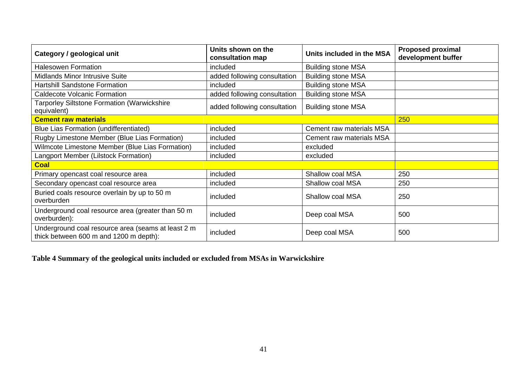| Category / geological unit                                                                   | Units shown on the<br>consultation map | Units included in the MSA | <b>Proposed proximal</b><br>development buffer |
|----------------------------------------------------------------------------------------------|----------------------------------------|---------------------------|------------------------------------------------|
| <b>Halesowen Formation</b>                                                                   | included                               | <b>Building stone MSA</b> |                                                |
| <b>Midlands Minor Intrusive Suite</b>                                                        | added following consultation           | <b>Building stone MSA</b> |                                                |
| <b>Hartshill Sandstone Formation</b>                                                         | included                               | <b>Building stone MSA</b> |                                                |
| <b>Caldecote Volcanic Formation</b>                                                          | added following consultation           | <b>Building stone MSA</b> |                                                |
| Tarporley Siltstone Formation (Warwickshire<br>equivalent)                                   | added following consultation           | <b>Building stone MSA</b> |                                                |
| <b>Cement raw materials</b>                                                                  |                                        |                           | 250                                            |
| Blue Lias Formation (undifferentiated)                                                       | included                               | Cement raw materials MSA  |                                                |
| Rugby Limestone Member (Blue Lias Formation)                                                 | included                               | Cement raw materials MSA  |                                                |
| Wilmcote Limestone Member (Blue Lias Formation)                                              | included                               | excluded                  |                                                |
| Langport Member (Lilstock Formation)                                                         | included                               | excluded                  |                                                |
| <b>Coal</b>                                                                                  |                                        |                           |                                                |
| Primary opencast coal resource area                                                          | included                               | Shallow coal MSA          | 250                                            |
| Secondary opencast coal resource area                                                        | included                               | <b>Shallow coal MSA</b>   | 250                                            |
| Buried coals resource overlain by up to 50 m<br>overburden                                   | included                               | Shallow coal MSA          | 250                                            |
| Underground coal resource area (greater than 50 m<br>overburden):                            | included                               | Deep coal MSA             | 500                                            |
| Underground coal resource area (seams at least 2 m<br>thick between 600 m and 1200 m depth): | included                               | Deep coal MSA             | 500                                            |

### **Table 4 Summary of the geological units included or excluded from MSAs in Warwickshire**